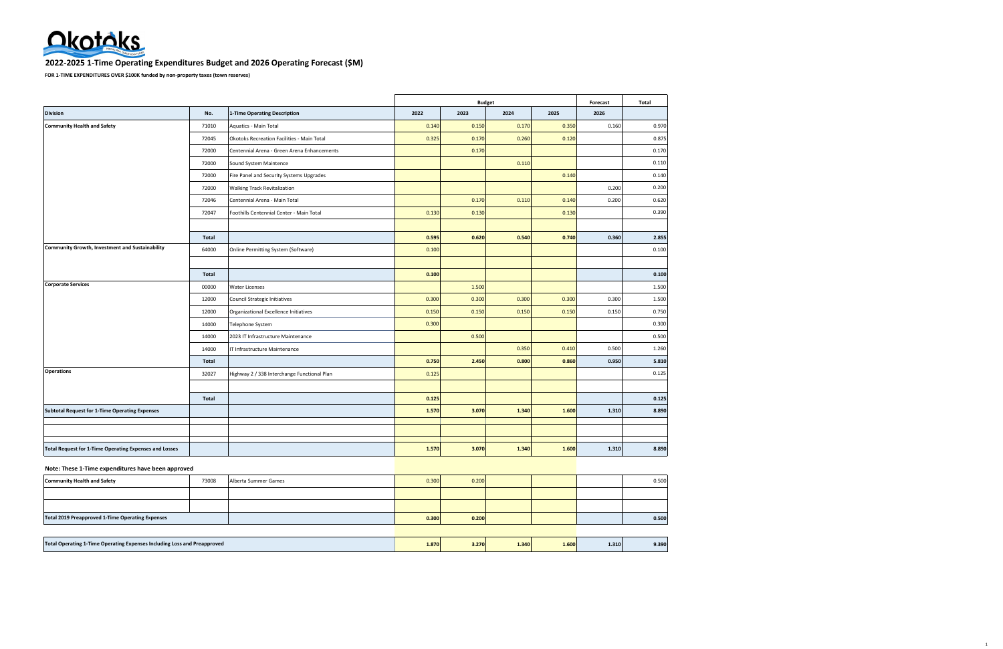

#### **2022-2025 1-Time Operating Expenditures Budget and 2026 Operating Forecast (\$M)**

**FOR 1-TIME EXPENDITURES OVER \$100K funded by non-property taxes (town reserves)**

|                                                        |       |                                             |       | <b>Budget</b> |       |       | Forecast | Total |
|--------------------------------------------------------|-------|---------------------------------------------|-------|---------------|-------|-------|----------|-------|
| <b>Division</b>                                        | No.   | 1-Time Operating Description                | 2022  | 2023          | 2024  | 2025  | 2026     |       |
| <b>Community Health and Safety</b>                     | 71010 | Aquatics - Main Total                       | 0.140 | 0.150         | 0.170 | 0.350 | 0.160    | 0.970 |
|                                                        | 72045 | Okotoks Recreation Facilities - Main Total  | 0.325 | 0.170         | 0.260 | 0.120 |          | 0.875 |
|                                                        | 72000 | Centennial Arena - Green Arena Enhancements |       | 0.170         |       |       |          | 0.170 |
|                                                        | 72000 | Sound System Maintence                      |       |               | 0.110 |       |          | 0.110 |
|                                                        | 72000 | Fire Panel and Security Systems Upgrades    |       |               |       | 0.140 |          | 0.140 |
|                                                        | 72000 | <b>Walking Track Revitalization</b>         |       |               |       |       | 0.200    | 0.200 |
|                                                        | 72046 | Centennial Arena - Main Total               |       | 0.170         | 0.110 | 0.140 | 0.200    | 0.620 |
|                                                        | 72047 | Foothills Centennial Center - Main Total    | 0.130 | 0.130         |       | 0.130 |          | 0.390 |
|                                                        |       |                                             |       |               |       |       |          |       |
|                                                        | Total |                                             | 0.595 | 0.620         | 0.540 | 0.740 | 0.360    | 2.855 |
| Community Growth, Investment and Sustainability        | 64000 | Online Permitting System (Software)         | 0.100 |               |       |       |          | 0.100 |
|                                                        |       |                                             |       |               |       |       |          |       |
|                                                        | Total |                                             | 0.100 |               |       |       |          | 0.100 |
| <b>Corporate Services</b>                              | 00000 | <b>Water Licenses</b>                       |       | 1.500         |       |       |          | 1.500 |
|                                                        | 12000 | Council Strategic Initiatives               | 0.300 | 0.300         | 0.300 | 0.300 | 0.300    | 1.500 |
|                                                        | 12000 | Organizational Excellence Initiatives       | 0.150 | 0.150         | 0.150 | 0.150 | 0.150    | 0.750 |
|                                                        | 14000 | Telephone System                            | 0.300 |               |       |       |          | 0.300 |
|                                                        | 14000 | 2023 IT Infrastructure Maintenance          |       | 0.500         |       |       |          | 0.500 |
|                                                        | 14000 | IT Infrastructure Maintenance               |       |               | 0.350 | 0.410 | 0.500    | 1.260 |
|                                                        | Total |                                             | 0.750 | 2.450         | 0.800 | 0.860 | 0.950    | 5.810 |
| <b>Operations</b>                                      | 32027 | Highway 2 / 338 Interchange Functional Plan | 0.125 |               |       |       |          | 0.125 |
|                                                        |       |                                             |       |               |       |       |          |       |
|                                                        | Total |                                             | 0.125 |               |       |       |          | 0.125 |
| <b>Subtotal Request for 1-Time Operating Expenses</b>  |       |                                             | 1.570 | 3.070         | 1.340 | 1.600 | 1.310    | 8.890 |
|                                                        |       |                                             |       |               |       |       |          |       |
|                                                        |       |                                             |       |               |       |       |          |       |
| Total Request for 1-Time Operating Expenses and Losses |       |                                             | 1.570 | 3.070         | 1.340 | 1.600 | 1.310    | 8.890 |
| Note: These 1-Time expenditures have been approved     |       |                                             |       |               |       |       |          |       |
| <b>Community Health and Safety</b>                     | 73008 | Alberta Summer Games                        | 0.300 | 0.200         |       |       |          | 0.500 |
|                                                        |       |                                             |       |               |       |       |          |       |

| <b>Total 2019 Preapproved 1-Time Operating Expenses</b>                  |  |       | 0.300 | 0.200 |       |       |       | 0.500 |
|--------------------------------------------------------------------------|--|-------|-------|-------|-------|-------|-------|-------|
|                                                                          |  |       |       |       |       |       |       |       |
| Total Operating 1-Time Operating Expenses Including Loss and Preapproved |  | 1.870 | 3.270 | 1.340 | 1.600 | 1.310 | 9.390 |       |

1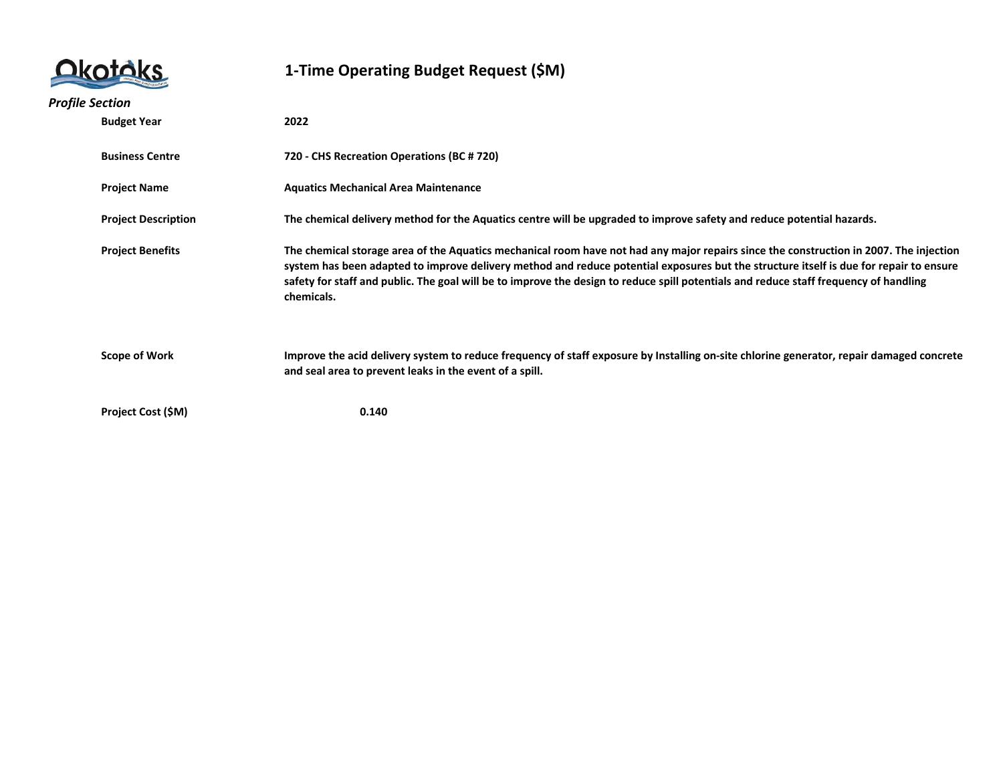|                            | 1-Time Operating Budget Request (\$M)                                                                                                                                                                                                                                                                                                                                                                                                   |
|----------------------------|-----------------------------------------------------------------------------------------------------------------------------------------------------------------------------------------------------------------------------------------------------------------------------------------------------------------------------------------------------------------------------------------------------------------------------------------|
| <b>Profile Section</b>     |                                                                                                                                                                                                                                                                                                                                                                                                                                         |
| <b>Budget Year</b>         | 2022                                                                                                                                                                                                                                                                                                                                                                                                                                    |
| <b>Business Centre</b>     | 720 - CHS Recreation Operations (BC # 720)                                                                                                                                                                                                                                                                                                                                                                                              |
| <b>Project Name</b>        | <b>Aquatics Mechanical Area Maintenance</b>                                                                                                                                                                                                                                                                                                                                                                                             |
| <b>Project Description</b> | The chemical delivery method for the Aquatics centre will be upgraded to improve safety and reduce potential hazards.                                                                                                                                                                                                                                                                                                                   |
| <b>Project Benefits</b>    | The chemical storage area of the Aquatics mechanical room have not had any major repairs since the construction in 2007. The injection<br>system has been adapted to improve delivery method and reduce potential exposures but the structure itself is due for repair to ensure<br>safety for staff and public. The goal will be to improve the design to reduce spill potentials and reduce staff frequency of handling<br>chemicals. |
| <b>Scope of Work</b>       | Improve the acid delivery system to reduce frequency of staff exposure by Installing on-site chlorine generator, repair damaged concrete<br>and seal area to prevent leaks in the event of a spill.                                                                                                                                                                                                                                     |
| Project Cost (\$M)         | 0.140                                                                                                                                                                                                                                                                                                                                                                                                                                   |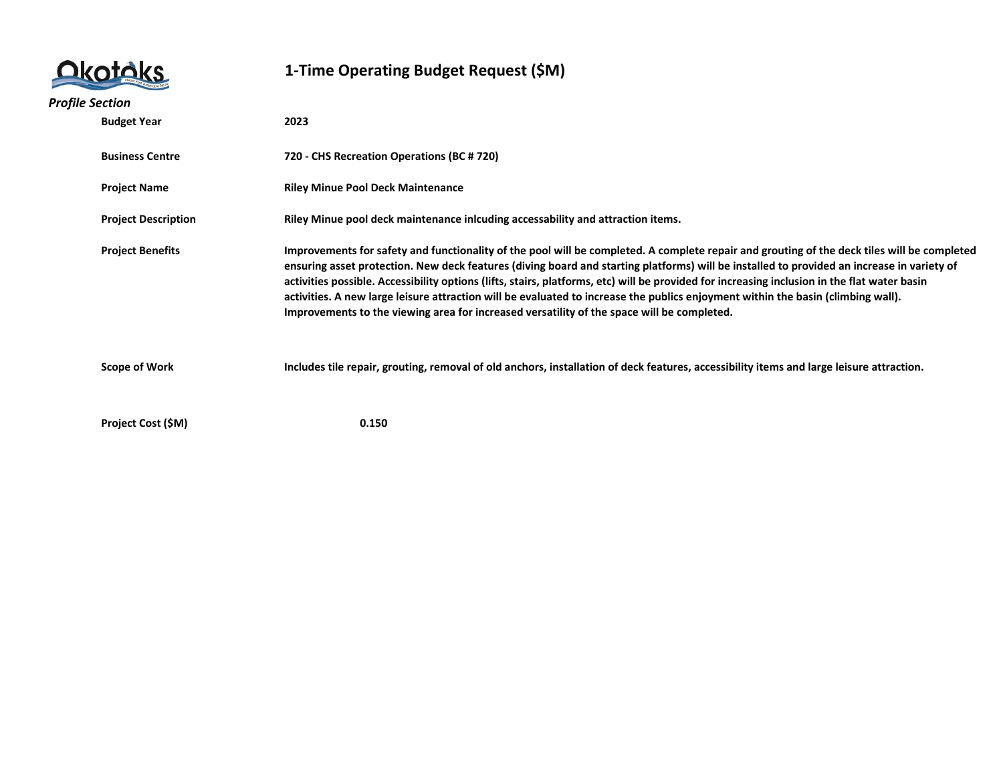|                            | 1-Time Operating Budget Request (\$M)                                                                                                                                                                                                                                                                                                                                                                                                                                                                                                                                                                                                                                       |
|----------------------------|-----------------------------------------------------------------------------------------------------------------------------------------------------------------------------------------------------------------------------------------------------------------------------------------------------------------------------------------------------------------------------------------------------------------------------------------------------------------------------------------------------------------------------------------------------------------------------------------------------------------------------------------------------------------------------|
| <b>Profile Section</b>     |                                                                                                                                                                                                                                                                                                                                                                                                                                                                                                                                                                                                                                                                             |
| <b>Budget Year</b>         | 2023                                                                                                                                                                                                                                                                                                                                                                                                                                                                                                                                                                                                                                                                        |
| <b>Business Centre</b>     | 720 - CHS Recreation Operations (BC # 720)                                                                                                                                                                                                                                                                                                                                                                                                                                                                                                                                                                                                                                  |
| <b>Project Name</b>        | <b>Riley Minue Pool Deck Maintenance</b>                                                                                                                                                                                                                                                                                                                                                                                                                                                                                                                                                                                                                                    |
| <b>Project Description</b> | Riley Minue pool deck maintenance inlcuding accessability and attraction items.                                                                                                                                                                                                                                                                                                                                                                                                                                                                                                                                                                                             |
| <b>Project Benefits</b>    | Improvements for safety and functionality of the pool will be completed. A complete repair and grouting of the deck tiles will be completed<br>ensuring asset protection. New deck features (diving board and starting platforms) will be installed to provided an increase in variety of<br>activities possible. Accessibility options (lifts, stairs, platforms, etc) will be provided for increasing inclusion in the flat water basin<br>activities. A new large leisure attraction will be evaluated to increase the publics enjoyment within the basin (climbing wall).<br>Improvements to the viewing area for increased versatility of the space will be completed. |
| <b>Scope of Work</b>       | Includes tile repair, grouting, removal of old anchors, installation of deck features, accessibility items and large leisure attraction.                                                                                                                                                                                                                                                                                                                                                                                                                                                                                                                                    |
| Project Cost (\$M)         | 0.150                                                                                                                                                                                                                                                                                                                                                                                                                                                                                                                                                                                                                                                                       |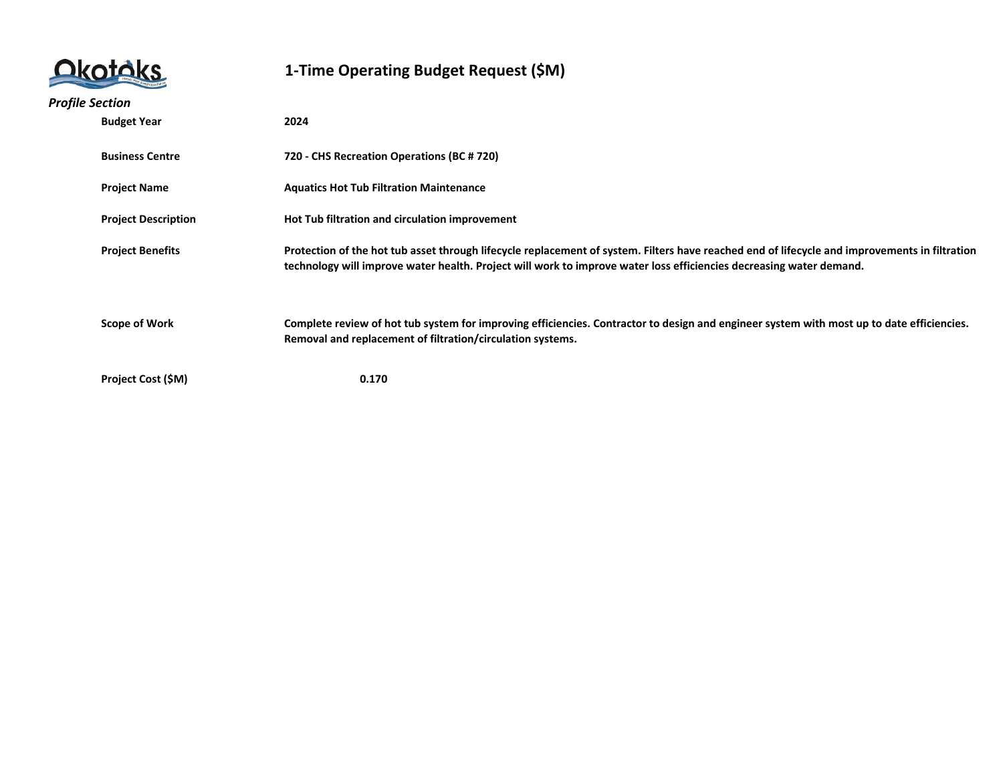|                            | 1-Time Operating Budget Request (\$M)                                                                                                                                                                                                                                |
|----------------------------|----------------------------------------------------------------------------------------------------------------------------------------------------------------------------------------------------------------------------------------------------------------------|
| <b>Profile Section</b>     |                                                                                                                                                                                                                                                                      |
| <b>Budget Year</b>         | 2024                                                                                                                                                                                                                                                                 |
| <b>Business Centre</b>     | 720 - CHS Recreation Operations (BC # 720)                                                                                                                                                                                                                           |
| <b>Project Name</b>        | <b>Aquatics Hot Tub Filtration Maintenance</b>                                                                                                                                                                                                                       |
| <b>Project Description</b> | Hot Tub filtration and circulation improvement                                                                                                                                                                                                                       |
| <b>Project Benefits</b>    | Protection of the hot tub asset through lifecycle replacement of system. Filters have reached end of lifecycle and improvements in filtration<br>technology will improve water health. Project will work to improve water loss efficiencies decreasing water demand. |
| <b>Scope of Work</b>       | Complete review of hot tub system for improving efficiencies. Contractor to design and engineer system with most up to date efficiencies.<br>Removal and replacement of filtration/circulation systems.                                                              |
| <b>Project Cost (\$M)</b>  | 0.170                                                                                                                                                                                                                                                                |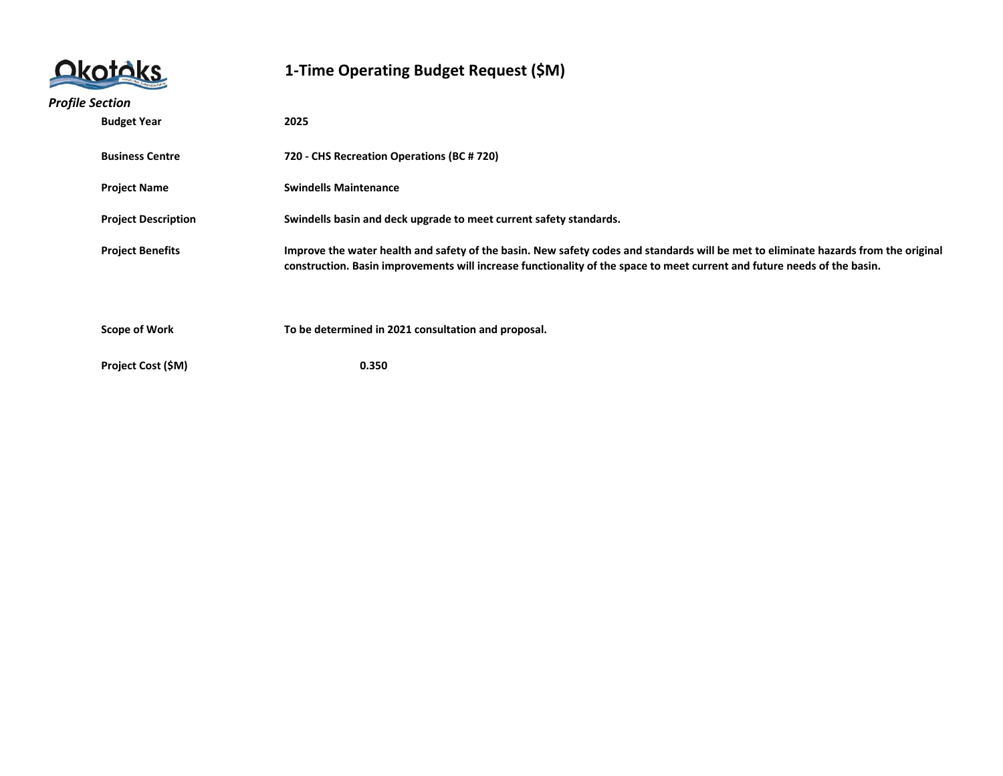|                            | 1-Time Operating Budget Request (\$M)                                                                                                                                                                                                                           |
|----------------------------|-----------------------------------------------------------------------------------------------------------------------------------------------------------------------------------------------------------------------------------------------------------------|
| <b>Profile Section</b>     |                                                                                                                                                                                                                                                                 |
| <b>Budget Year</b>         | 2025                                                                                                                                                                                                                                                            |
| <b>Business Centre</b>     | 720 - CHS Recreation Operations (BC # 720)                                                                                                                                                                                                                      |
| <b>Project Name</b>        | <b>Swindells Maintenance</b>                                                                                                                                                                                                                                    |
| <b>Project Description</b> | Swindells basin and deck upgrade to meet current safety standards.                                                                                                                                                                                              |
| <b>Project Benefits</b>    | Improve the water health and safety of the basin. New safety codes and standards will be met to eliminate hazards from the original<br>construction. Basin improvements will increase functionality of the space to meet current and future needs of the basin. |
| <b>Scope of Work</b>       | To be determined in 2021 consultation and proposal.                                                                                                                                                                                                             |
| Project Cost (\$M)         | 0.350                                                                                                                                                                                                                                                           |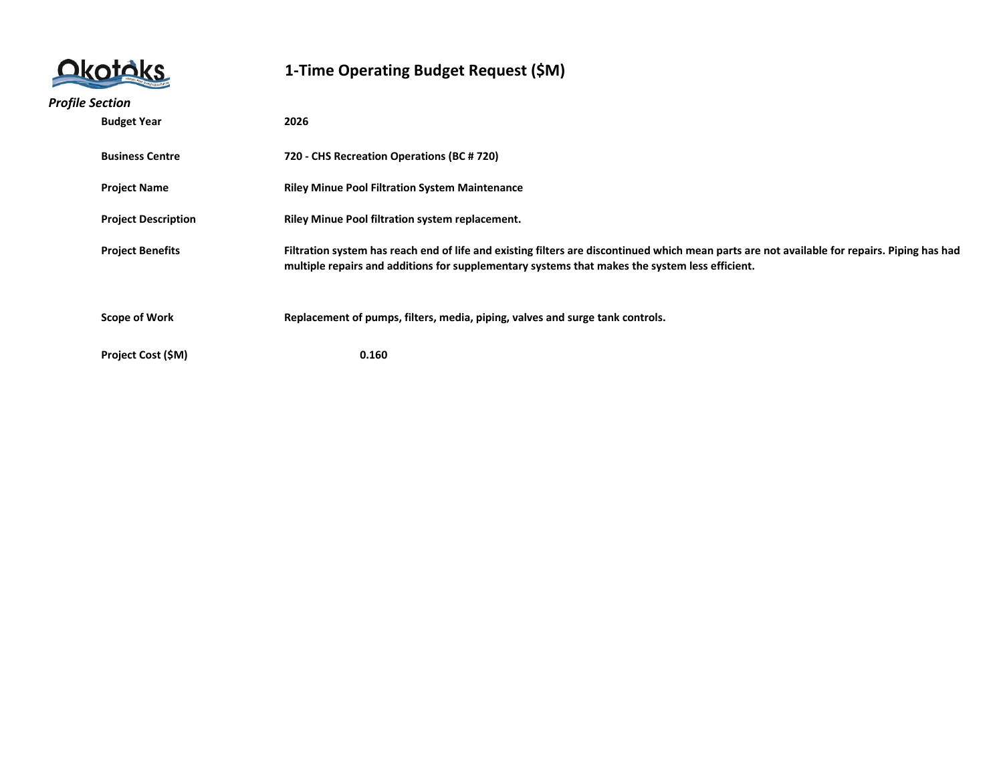|                        |                            | 1-Time Operating Budget Request (\$M)                                                                                                                                                                                                          |
|------------------------|----------------------------|------------------------------------------------------------------------------------------------------------------------------------------------------------------------------------------------------------------------------------------------|
| <b>Profile Section</b> |                            |                                                                                                                                                                                                                                                |
|                        | <b>Budget Year</b>         | 2026                                                                                                                                                                                                                                           |
|                        | <b>Business Centre</b>     | 720 - CHS Recreation Operations (BC # 720)                                                                                                                                                                                                     |
|                        | <b>Project Name</b>        | <b>Riley Minue Pool Filtration System Maintenance</b>                                                                                                                                                                                          |
|                        | <b>Project Description</b> | Riley Minue Pool filtration system replacement.                                                                                                                                                                                                |
|                        | <b>Project Benefits</b>    | Filtration system has reach end of life and existing filters are discontinued which mean parts are not available for repairs. Piping has had<br>multiple repairs and additions for supplementary systems that makes the system less efficient. |
|                        | <b>Scope of Work</b>       | Replacement of pumps, filters, media, piping, valves and surge tank controls.                                                                                                                                                                  |
|                        | Project Cost (\$M)         | 0.160                                                                                                                                                                                                                                          |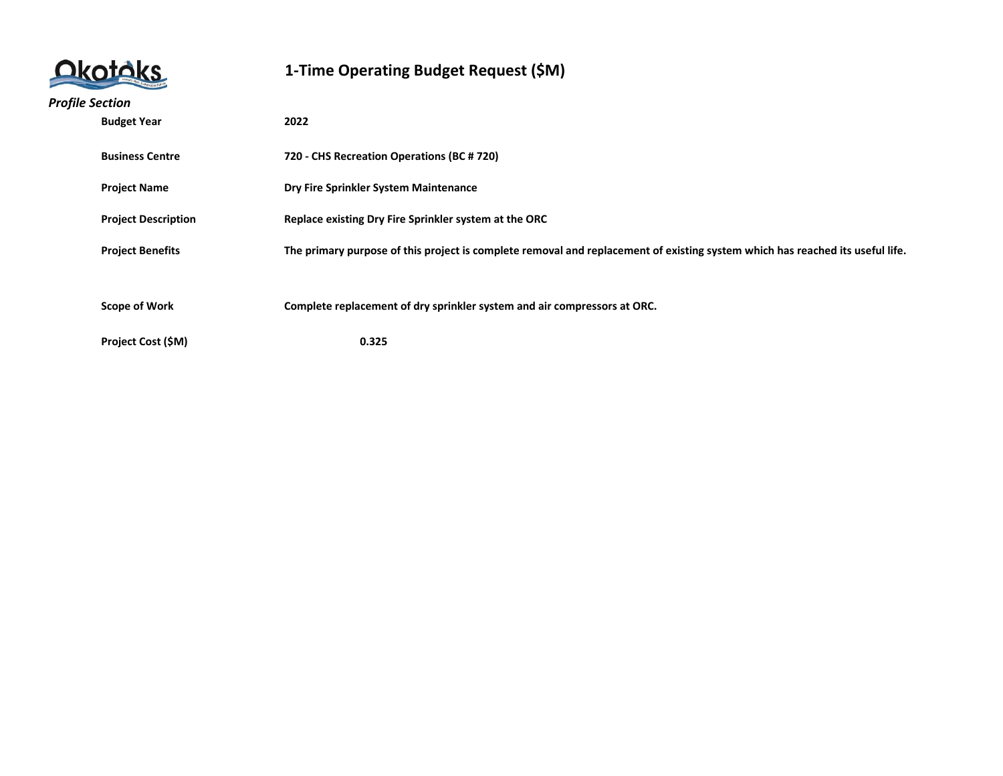|                            | 1-Time Operating Budget Request (\$M)                                                                                         |
|----------------------------|-------------------------------------------------------------------------------------------------------------------------------|
| <b>Profile Section</b>     |                                                                                                                               |
| <b>Budget Year</b>         | 2022                                                                                                                          |
| <b>Business Centre</b>     | 720 - CHS Recreation Operations (BC # 720)                                                                                    |
| <b>Project Name</b>        | Dry Fire Sprinkler System Maintenance                                                                                         |
| <b>Project Description</b> | Replace existing Dry Fire Sprinkler system at the ORC                                                                         |
| <b>Project Benefits</b>    | The primary purpose of this project is complete removal and replacement of existing system which has reached its useful life. |
|                            |                                                                                                                               |
| <b>Scope of Work</b>       | Complete replacement of dry sprinkler system and air compressors at ORC.                                                      |
| Project Cost (\$M)         | 0.325                                                                                                                         |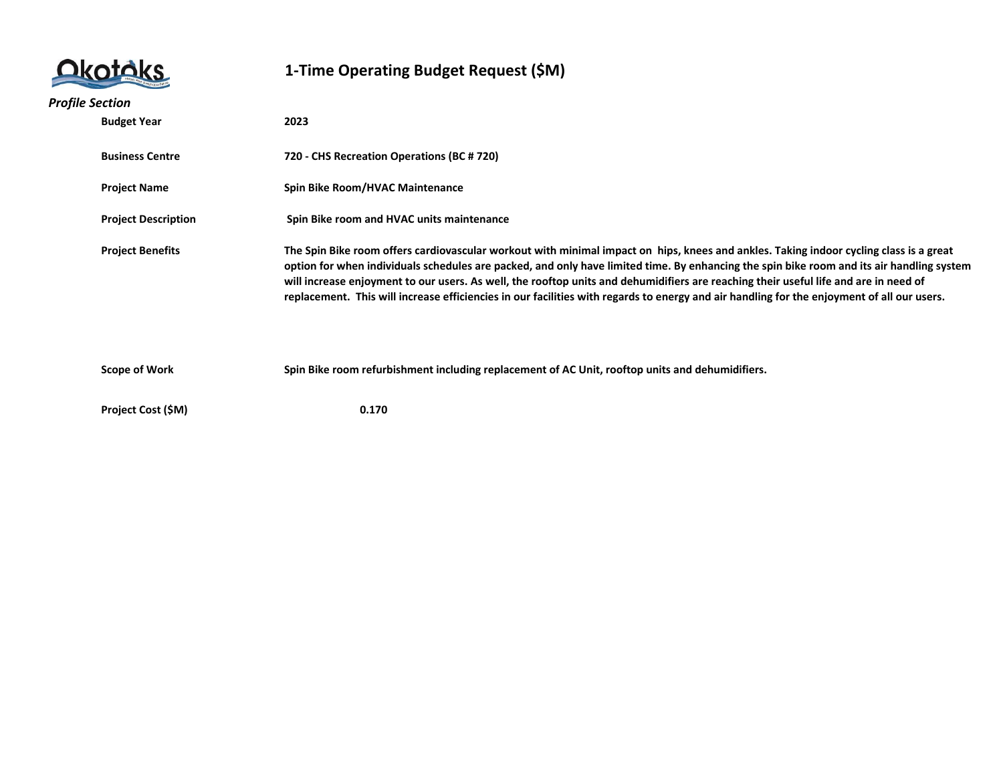|                        |                            | 1-Time Operating Budget Request (\$M)                                                                                                                                                                                                                                                                                                                                                                                                                                                                                                                                     |
|------------------------|----------------------------|---------------------------------------------------------------------------------------------------------------------------------------------------------------------------------------------------------------------------------------------------------------------------------------------------------------------------------------------------------------------------------------------------------------------------------------------------------------------------------------------------------------------------------------------------------------------------|
| <b>Profile Section</b> |                            |                                                                                                                                                                                                                                                                                                                                                                                                                                                                                                                                                                           |
|                        | <b>Budget Year</b>         | 2023                                                                                                                                                                                                                                                                                                                                                                                                                                                                                                                                                                      |
|                        | <b>Business Centre</b>     | 720 - CHS Recreation Operations (BC # 720)                                                                                                                                                                                                                                                                                                                                                                                                                                                                                                                                |
|                        | <b>Project Name</b>        | Spin Bike Room/HVAC Maintenance                                                                                                                                                                                                                                                                                                                                                                                                                                                                                                                                           |
|                        | <b>Project Description</b> | Spin Bike room and HVAC units maintenance                                                                                                                                                                                                                                                                                                                                                                                                                                                                                                                                 |
|                        | <b>Project Benefits</b>    | The Spin Bike room offers cardiovascular workout with minimal impact on hips, knees and ankles. Taking indoor cycling class is a great<br>option for when individuals schedules are packed, and only have limited time. By enhancing the spin bike room and its air handling system<br>will increase enjoyment to our users. As well, the rooftop units and dehumidifiers are reaching their useful life and are in need of<br>replacement. This will increase efficiencies in our facilities with regards to energy and air handling for the enjoyment of all our users. |
|                        | Scope of Work              | Spin Bike room refurbishment including replacement of AC Unit, rooftop units and dehumidifiers.                                                                                                                                                                                                                                                                                                                                                                                                                                                                           |
|                        | Project Cost (\$M)         | 0.170                                                                                                                                                                                                                                                                                                                                                                                                                                                                                                                                                                     |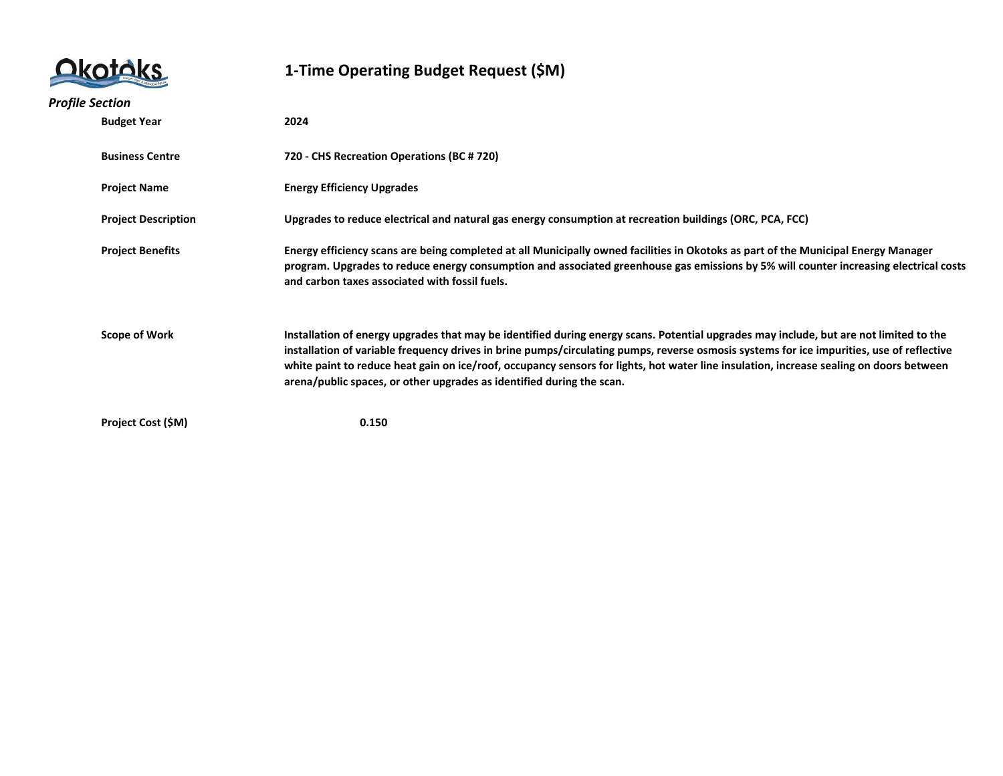

| <b>Profile Section</b> |                            |                                                                                                                                                                                                                                                                                                                                                                                                                                                                                                         |
|------------------------|----------------------------|---------------------------------------------------------------------------------------------------------------------------------------------------------------------------------------------------------------------------------------------------------------------------------------------------------------------------------------------------------------------------------------------------------------------------------------------------------------------------------------------------------|
|                        | <b>Budget Year</b>         | 2024                                                                                                                                                                                                                                                                                                                                                                                                                                                                                                    |
|                        | <b>Business Centre</b>     | 720 - CHS Recreation Operations (BC # 720)                                                                                                                                                                                                                                                                                                                                                                                                                                                              |
|                        | <b>Project Name</b>        | <b>Energy Efficiency Upgrades</b>                                                                                                                                                                                                                                                                                                                                                                                                                                                                       |
|                        | <b>Project Description</b> | Upgrades to reduce electrical and natural gas energy consumption at recreation buildings (ORC, PCA, FCC)                                                                                                                                                                                                                                                                                                                                                                                                |
|                        | <b>Project Benefits</b>    | Energy efficiency scans are being completed at all Municipally owned facilities in Okotoks as part of the Municipal Energy Manager<br>program. Upgrades to reduce energy consumption and associated greenhouse gas emissions by 5% will counter increasing electrical costs<br>and carbon taxes associated with fossil fuels.                                                                                                                                                                           |
|                        | <b>Scope of Work</b>       | Installation of energy upgrades that may be identified during energy scans. Potential upgrades may include, but are not limited to the<br>installation of variable frequency drives in brine pumps/circulating pumps, reverse osmosis systems for ice impurities, use of reflective<br>white paint to reduce heat gain on ice/roof, occupancy sensors for lights, hot water line insulation, increase sealing on doors between<br>arena/public spaces, or other upgrades as identified during the scan. |
|                        | Project Cost (\$M)         | 0.150                                                                                                                                                                                                                                                                                                                                                                                                                                                                                                   |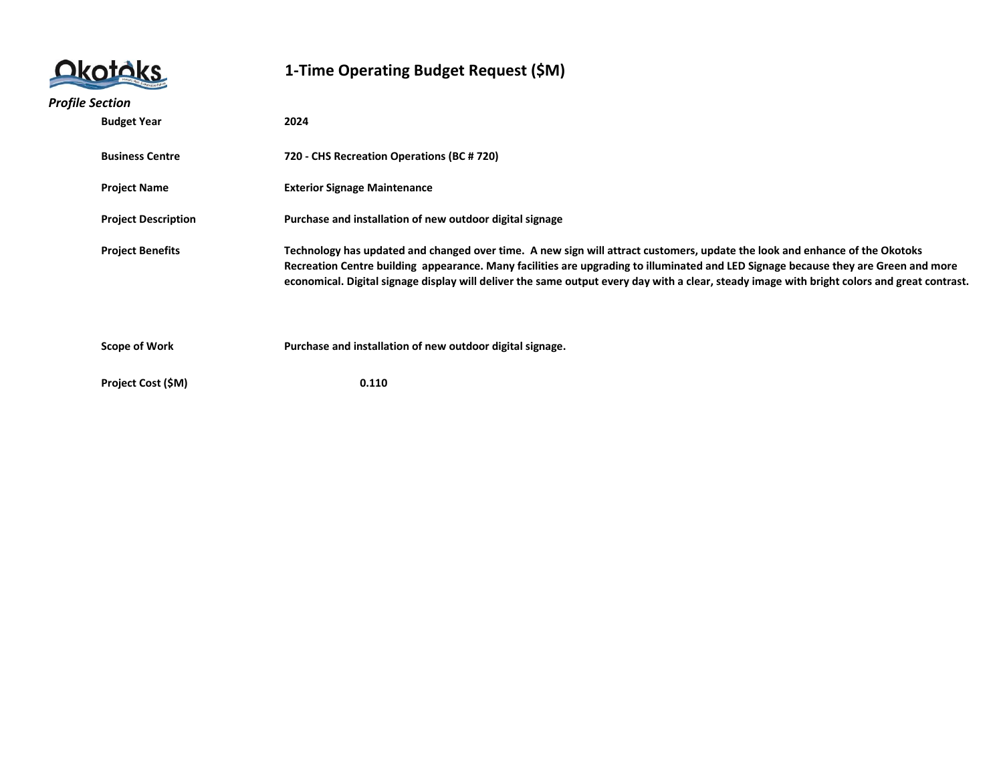|                        |                            | 1-Time Operating Budget Request (\$M)                                                                                                                                                                                                                                                                                                                                                                              |
|------------------------|----------------------------|--------------------------------------------------------------------------------------------------------------------------------------------------------------------------------------------------------------------------------------------------------------------------------------------------------------------------------------------------------------------------------------------------------------------|
| <b>Profile Section</b> |                            |                                                                                                                                                                                                                                                                                                                                                                                                                    |
|                        | <b>Budget Year</b>         | 2024                                                                                                                                                                                                                                                                                                                                                                                                               |
|                        | <b>Business Centre</b>     | 720 - CHS Recreation Operations (BC # 720)                                                                                                                                                                                                                                                                                                                                                                         |
|                        | <b>Project Name</b>        | <b>Exterior Signage Maintenance</b>                                                                                                                                                                                                                                                                                                                                                                                |
|                        | <b>Project Description</b> | Purchase and installation of new outdoor digital signage                                                                                                                                                                                                                                                                                                                                                           |
|                        | <b>Project Benefits</b>    | Technology has updated and changed over time. A new sign will attract customers, update the look and enhance of the Okotoks<br>Recreation Centre building appearance. Many facilities are upgrading to illuminated and LED Signage because they are Green and more<br>economical. Digital signage display will deliver the same output every day with a clear, steady image with bright colors and great contrast. |
|                        | <b>Scope of Work</b>       | Purchase and installation of new outdoor digital signage.                                                                                                                                                                                                                                                                                                                                                          |
|                        | Project Cost (\$M)         | 0.110                                                                                                                                                                                                                                                                                                                                                                                                              |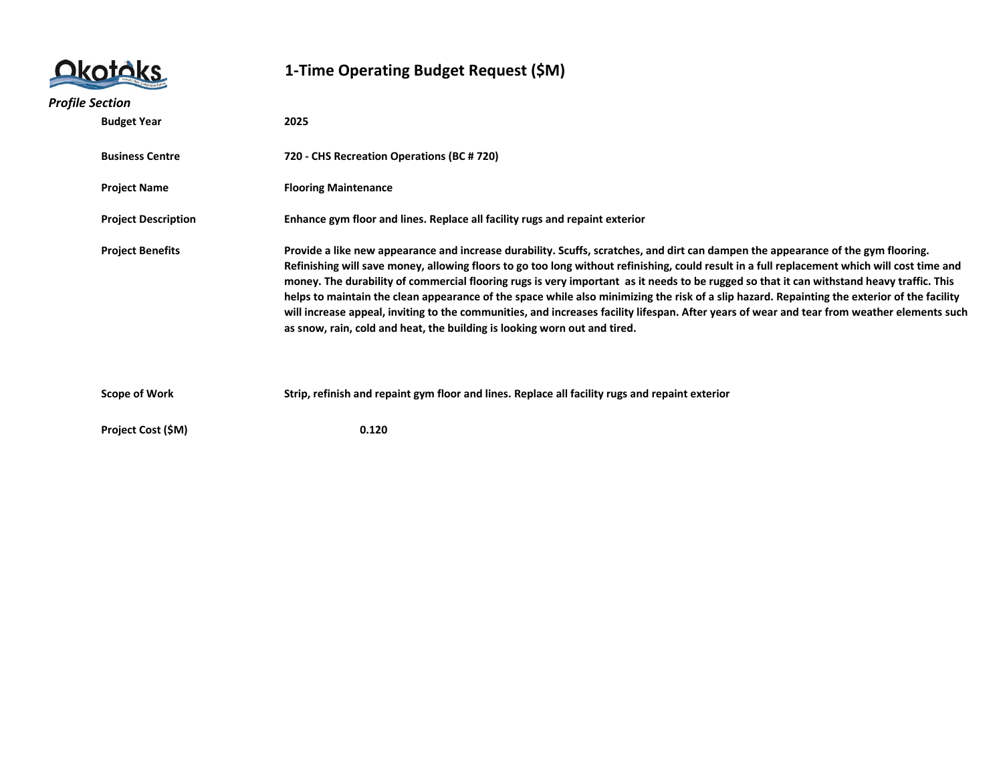|                            | 1-Time Operating Budget Request (\$M)                                                                                                                                                                                                                                                                                                                                                                                                                                                                                                                                                                                                                                                                                                                                                                      |
|----------------------------|------------------------------------------------------------------------------------------------------------------------------------------------------------------------------------------------------------------------------------------------------------------------------------------------------------------------------------------------------------------------------------------------------------------------------------------------------------------------------------------------------------------------------------------------------------------------------------------------------------------------------------------------------------------------------------------------------------------------------------------------------------------------------------------------------------|
| <b>Profile Section</b>     |                                                                                                                                                                                                                                                                                                                                                                                                                                                                                                                                                                                                                                                                                                                                                                                                            |
| <b>Budget Year</b>         | 2025                                                                                                                                                                                                                                                                                                                                                                                                                                                                                                                                                                                                                                                                                                                                                                                                       |
| <b>Business Centre</b>     | 720 - CHS Recreation Operations (BC # 720)                                                                                                                                                                                                                                                                                                                                                                                                                                                                                                                                                                                                                                                                                                                                                                 |
| <b>Project Name</b>        | <b>Flooring Maintenance</b>                                                                                                                                                                                                                                                                                                                                                                                                                                                                                                                                                                                                                                                                                                                                                                                |
| <b>Project Description</b> | Enhance gym floor and lines. Replace all facility rugs and repaint exterior                                                                                                                                                                                                                                                                                                                                                                                                                                                                                                                                                                                                                                                                                                                                |
| <b>Project Benefits</b>    | Provide a like new appearance and increase durability. Scuffs, scratches, and dirt can dampen the appearance of the gym flooring.<br>Refinishing will save money, allowing floors to go too long without refinishing, could result in a full replacement which will cost time and<br>money. The durability of commercial flooring rugs is very important as it needs to be rugged so that it can withstand heavy traffic. This<br>helps to maintain the clean appearance of the space while also minimizing the risk of a slip hazard. Repainting the exterior of the facility<br>will increase appeal, inviting to the communities, and increases facility lifespan. After years of wear and tear from weather elements such<br>as snow, rain, cold and heat, the building is looking worn out and tired. |
| <b>Scope of Work</b>       | Strip, refinish and repaint gym floor and lines. Replace all facility rugs and repaint exterior                                                                                                                                                                                                                                                                                                                                                                                                                                                                                                                                                                                                                                                                                                            |
| Project Cost (\$M)         | 0.120                                                                                                                                                                                                                                                                                                                                                                                                                                                                                                                                                                                                                                                                                                                                                                                                      |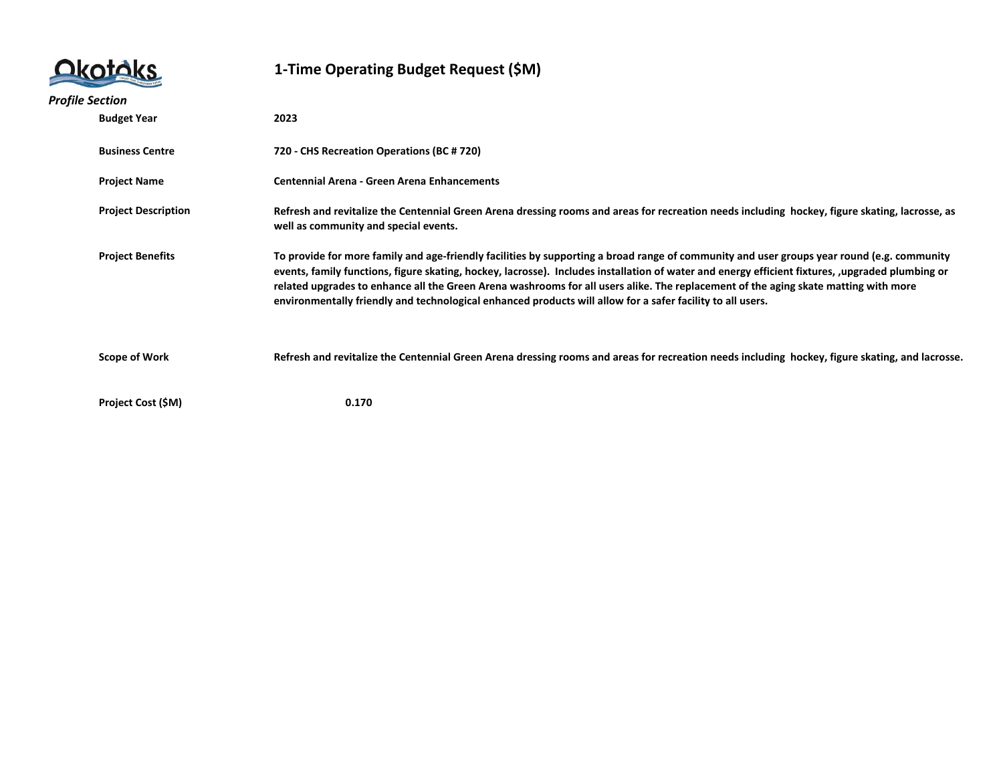

| <b>Profile Section</b> |                            |                                                                                                                                                                                                                                                                                                                                                                                                                                                                                                                                                    |
|------------------------|----------------------------|----------------------------------------------------------------------------------------------------------------------------------------------------------------------------------------------------------------------------------------------------------------------------------------------------------------------------------------------------------------------------------------------------------------------------------------------------------------------------------------------------------------------------------------------------|
|                        | <b>Budget Year</b>         | 2023                                                                                                                                                                                                                                                                                                                                                                                                                                                                                                                                               |
|                        | <b>Business Centre</b>     | 720 - CHS Recreation Operations (BC # 720)                                                                                                                                                                                                                                                                                                                                                                                                                                                                                                         |
|                        | <b>Project Name</b>        | <b>Centennial Arena - Green Arena Enhancements</b>                                                                                                                                                                                                                                                                                                                                                                                                                                                                                                 |
|                        | <b>Project Description</b> | Refresh and revitalize the Centennial Green Arena dressing rooms and areas for recreation needs including hockey, figure skating, lacrosse, as<br>well as community and special events.                                                                                                                                                                                                                                                                                                                                                            |
|                        | <b>Project Benefits</b>    | To provide for more family and age-friendly facilities by supporting a broad range of community and user groups year round (e.g. community<br>events, family functions, figure skating, hockey, lacrosse). Includes installation of water and energy efficient fixtures, upgraded plumbing or<br>related upgrades to enhance all the Green Arena washrooms for all users alike. The replacement of the aging skate matting with more<br>environmentally friendly and technological enhanced products will allow for a safer facility to all users. |
|                        | Scope of Work              | Refresh and revitalize the Centennial Green Arena dressing rooms and areas for recreation needs including hockey, figure skating, and lacrosse.                                                                                                                                                                                                                                                                                                                                                                                                    |
|                        | Project Cost (\$M)         | 0.170                                                                                                                                                                                                                                                                                                                                                                                                                                                                                                                                              |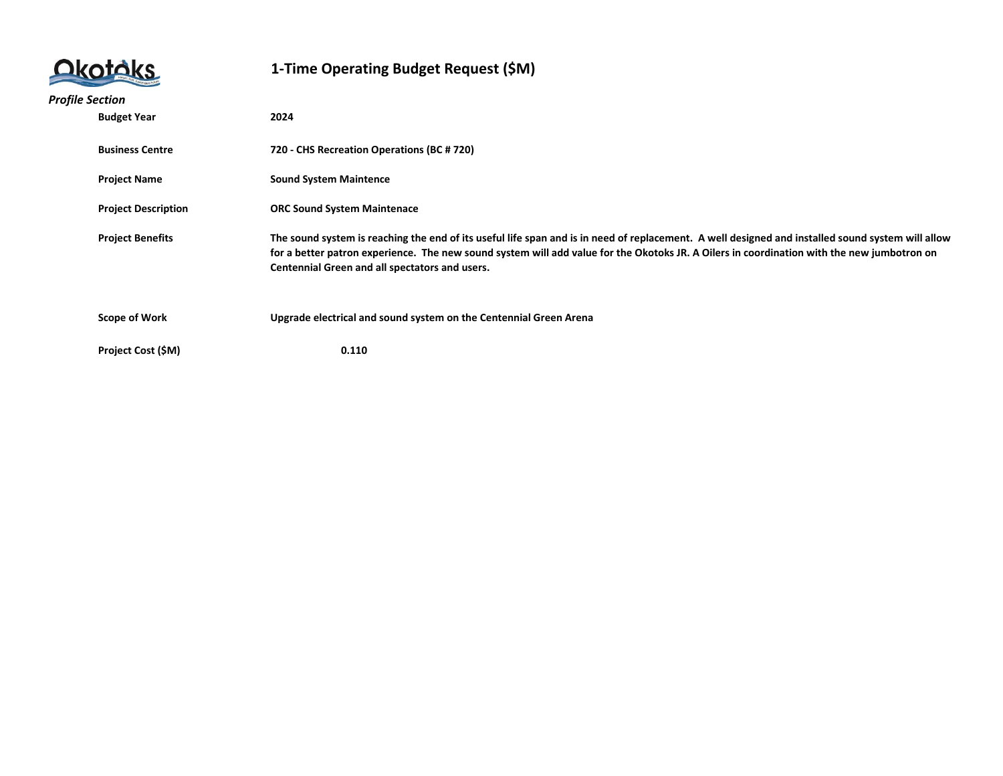|                        |                            | 1-Time Operating Budget Request (\$M)                                                                                                                                                                                                                                                                                                             |
|------------------------|----------------------------|---------------------------------------------------------------------------------------------------------------------------------------------------------------------------------------------------------------------------------------------------------------------------------------------------------------------------------------------------|
| <b>Profile Section</b> |                            |                                                                                                                                                                                                                                                                                                                                                   |
|                        | <b>Budget Year</b>         | 2024                                                                                                                                                                                                                                                                                                                                              |
|                        | <b>Business Centre</b>     | 720 - CHS Recreation Operations (BC # 720)                                                                                                                                                                                                                                                                                                        |
|                        | <b>Project Name</b>        | <b>Sound System Maintence</b>                                                                                                                                                                                                                                                                                                                     |
|                        | <b>Project Description</b> | <b>ORC Sound System Maintenace</b>                                                                                                                                                                                                                                                                                                                |
|                        | <b>Project Benefits</b>    | The sound system is reaching the end of its useful life span and is in need of replacement. A well designed and installed sound system will allow<br>for a better patron experience. The new sound system will add value for the Okotoks JR. A Oilers in coordination with the new jumbotron on<br>Centennial Green and all spectators and users. |
|                        | <b>Scope of Work</b>       | Upgrade electrical and sound system on the Centennial Green Arena                                                                                                                                                                                                                                                                                 |
|                        | Project Cost (\$M)         | 0.110                                                                                                                                                                                                                                                                                                                                             |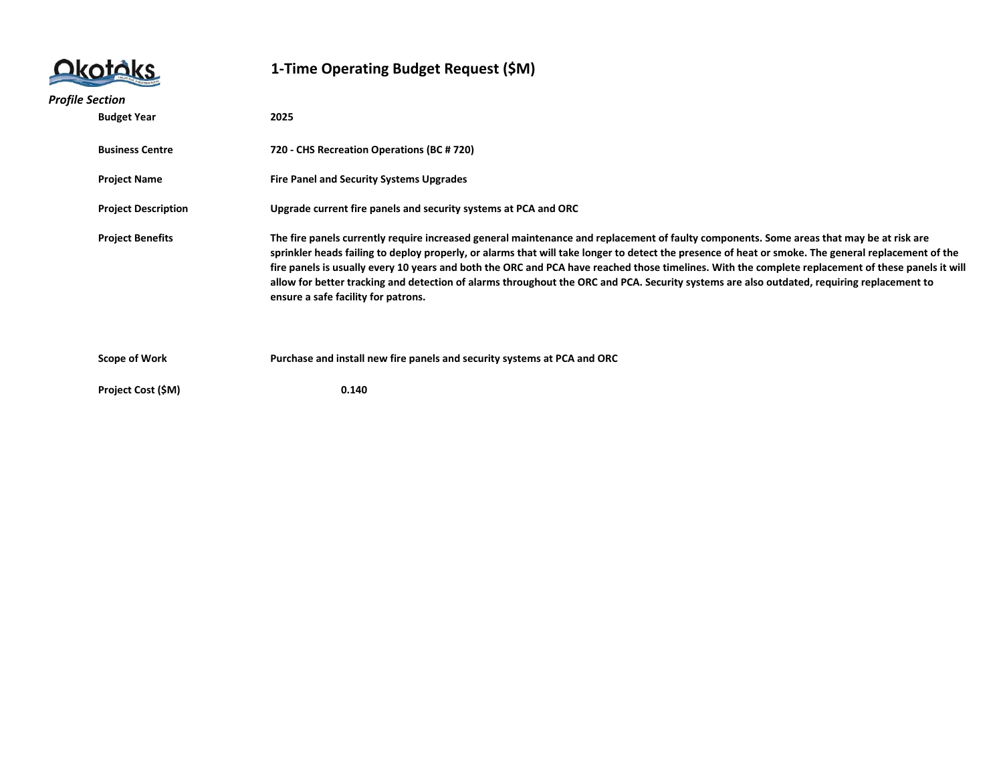

| <b>Profile Section</b>                                                                        |                           |                                                                                                                                                                                                                                                                                                                                                                                                                                                                                                                                                                                                                                            |
|-----------------------------------------------------------------------------------------------|---------------------------|--------------------------------------------------------------------------------------------------------------------------------------------------------------------------------------------------------------------------------------------------------------------------------------------------------------------------------------------------------------------------------------------------------------------------------------------------------------------------------------------------------------------------------------------------------------------------------------------------------------------------------------------|
|                                                                                               | <b>Budget Year</b>        | 2025                                                                                                                                                                                                                                                                                                                                                                                                                                                                                                                                                                                                                                       |
|                                                                                               | <b>Business Centre</b>    | 720 - CHS Recreation Operations (BC # 720)                                                                                                                                                                                                                                                                                                                                                                                                                                                                                                                                                                                                 |
|                                                                                               | <b>Project Name</b>       | <b>Fire Panel and Security Systems Upgrades</b>                                                                                                                                                                                                                                                                                                                                                                                                                                                                                                                                                                                            |
| Upgrade current fire panels and security systems at PCA and ORC<br><b>Project Description</b> |                           |                                                                                                                                                                                                                                                                                                                                                                                                                                                                                                                                                                                                                                            |
|                                                                                               | <b>Project Benefits</b>   | The fire panels currently require increased general maintenance and replacement of faulty components. Some areas that may be at risk are<br>sprinkler heads failing to deploy properly, or alarms that will take longer to detect the presence of heat or smoke. The general replacement of the<br>fire panels is usually every 10 years and both the ORC and PCA have reached those timelines. With the complete replacement of these panels it will<br>allow for better tracking and detection of alarms throughout the ORC and PCA. Security systems are also outdated, requiring replacement to<br>ensure a safe facility for patrons. |
|                                                                                               | <b>Scope of Work</b>      | Purchase and install new fire panels and security systems at PCA and ORC                                                                                                                                                                                                                                                                                                                                                                                                                                                                                                                                                                   |
|                                                                                               | <b>Project Cost (\$M)</b> | 0.140                                                                                                                                                                                                                                                                                                                                                                                                                                                                                                                                                                                                                                      |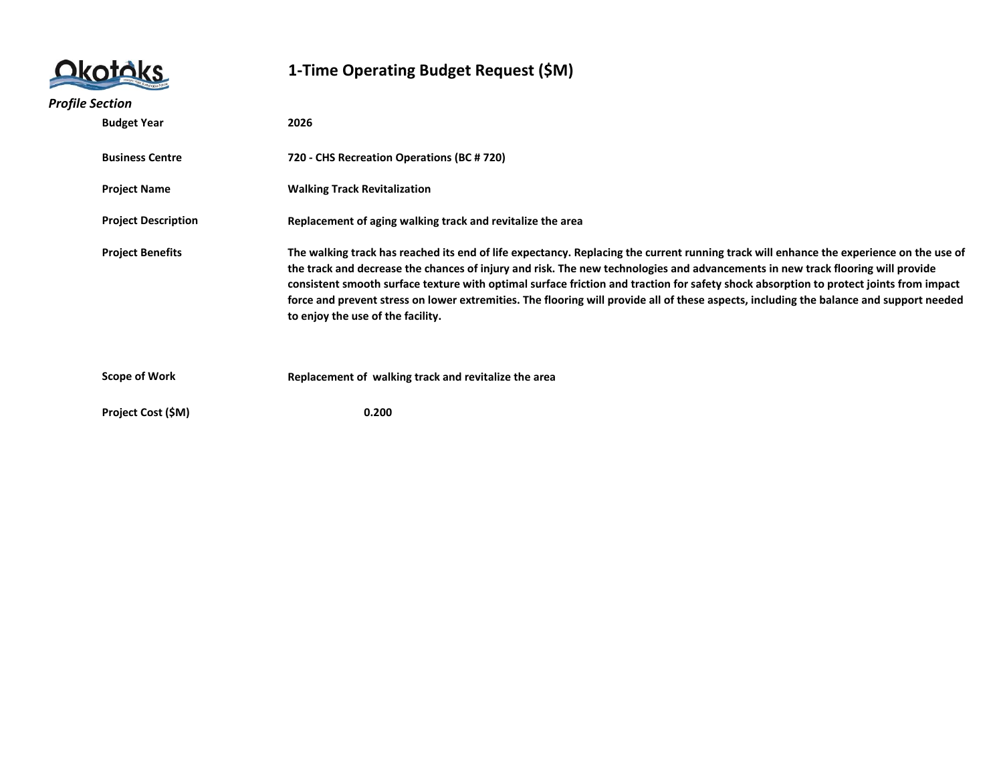|                            | 1-Time Operating Budget Request (\$M)                                                                                                                                                                                                                                                                                                                                                                                                                                                                                                                                                                |  |
|----------------------------|------------------------------------------------------------------------------------------------------------------------------------------------------------------------------------------------------------------------------------------------------------------------------------------------------------------------------------------------------------------------------------------------------------------------------------------------------------------------------------------------------------------------------------------------------------------------------------------------------|--|
| <b>Profile Section</b>     |                                                                                                                                                                                                                                                                                                                                                                                                                                                                                                                                                                                                      |  |
| <b>Budget Year</b>         | 2026                                                                                                                                                                                                                                                                                                                                                                                                                                                                                                                                                                                                 |  |
| <b>Business Centre</b>     | 720 - CHS Recreation Operations (BC # 720)                                                                                                                                                                                                                                                                                                                                                                                                                                                                                                                                                           |  |
| <b>Project Name</b>        | <b>Walking Track Revitalization</b>                                                                                                                                                                                                                                                                                                                                                                                                                                                                                                                                                                  |  |
| <b>Project Description</b> | Replacement of aging walking track and revitalize the area                                                                                                                                                                                                                                                                                                                                                                                                                                                                                                                                           |  |
| <b>Project Benefits</b>    | The walking track has reached its end of life expectancy. Replacing the current running track will enhance the experience on the use of<br>the track and decrease the chances of injury and risk. The new technologies and advancements in new track flooring will provide<br>consistent smooth surface texture with optimal surface friction and traction for safety shock absorption to protect joints from impact<br>force and prevent stress on lower extremities. The flooring will provide all of these aspects, including the balance and support needed<br>to enjoy the use of the facility. |  |
| <b>Scope of Work</b>       | Replacement of walking track and revitalize the area                                                                                                                                                                                                                                                                                                                                                                                                                                                                                                                                                 |  |
| Project Cost (\$M)         | 0.200                                                                                                                                                                                                                                                                                                                                                                                                                                                                                                                                                                                                |  |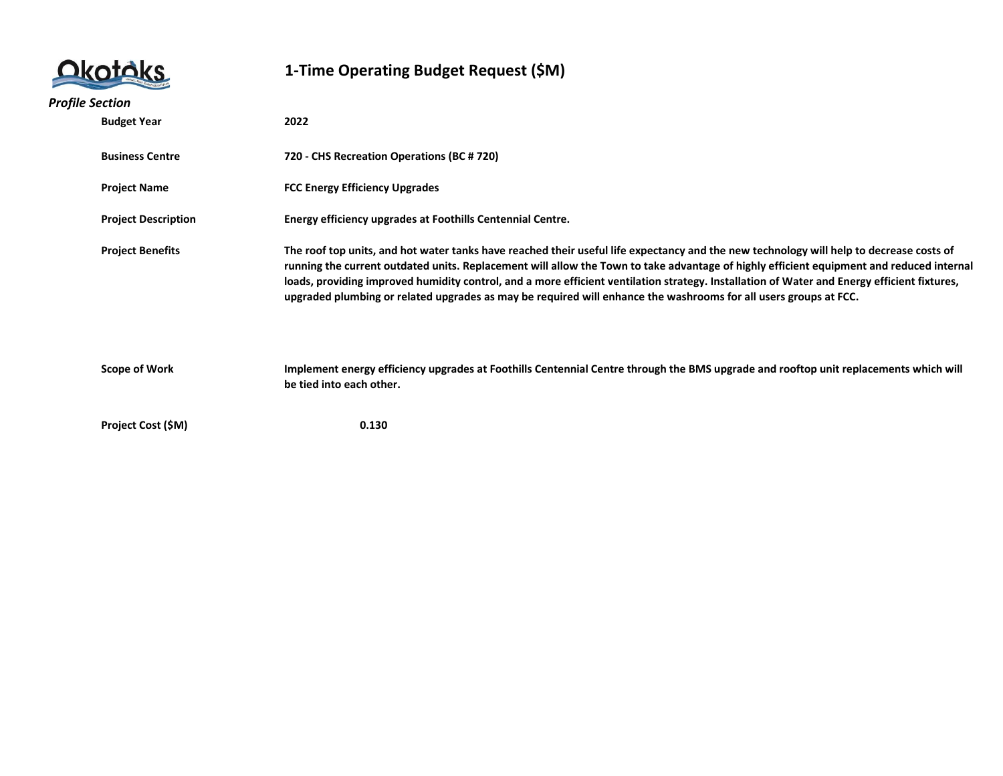|                            |  | 1-Time Operating Budget Request (\$M)                                                                                                                                                                                                                                                                                                                                                                                                                                                                                                                  |  |
|----------------------------|--|--------------------------------------------------------------------------------------------------------------------------------------------------------------------------------------------------------------------------------------------------------------------------------------------------------------------------------------------------------------------------------------------------------------------------------------------------------------------------------------------------------------------------------------------------------|--|
| <b>Profile Section</b>     |  |                                                                                                                                                                                                                                                                                                                                                                                                                                                                                                                                                        |  |
| <b>Budget Year</b>         |  | 2022                                                                                                                                                                                                                                                                                                                                                                                                                                                                                                                                                   |  |
| <b>Business Centre</b>     |  | 720 - CHS Recreation Operations (BC # 720)                                                                                                                                                                                                                                                                                                                                                                                                                                                                                                             |  |
| <b>Project Name</b>        |  | <b>FCC Energy Efficiency Upgrades</b>                                                                                                                                                                                                                                                                                                                                                                                                                                                                                                                  |  |
| <b>Project Description</b> |  | Energy efficiency upgrades at Foothills Centennial Centre.                                                                                                                                                                                                                                                                                                                                                                                                                                                                                             |  |
| <b>Project Benefits</b>    |  | The roof top units, and hot water tanks have reached their useful life expectancy and the new technology will help to decrease costs of<br>running the current outdated units. Replacement will allow the Town to take advantage of highly efficient equipment and reduced internal<br>loads, providing improved humidity control, and a more efficient ventilation strategy. Installation of Water and Energy efficient fixtures,<br>upgraded plumbing or related upgrades as may be required will enhance the washrooms for all users groups at FCC. |  |
| <b>Scope of Work</b>       |  | Implement energy efficiency upgrades at Foothills Centennial Centre through the BMS upgrade and rooftop unit replacements which will<br>be tied into each other.                                                                                                                                                                                                                                                                                                                                                                                       |  |
| Project Cost (\$M)         |  | 0.130                                                                                                                                                                                                                                                                                                                                                                                                                                                                                                                                                  |  |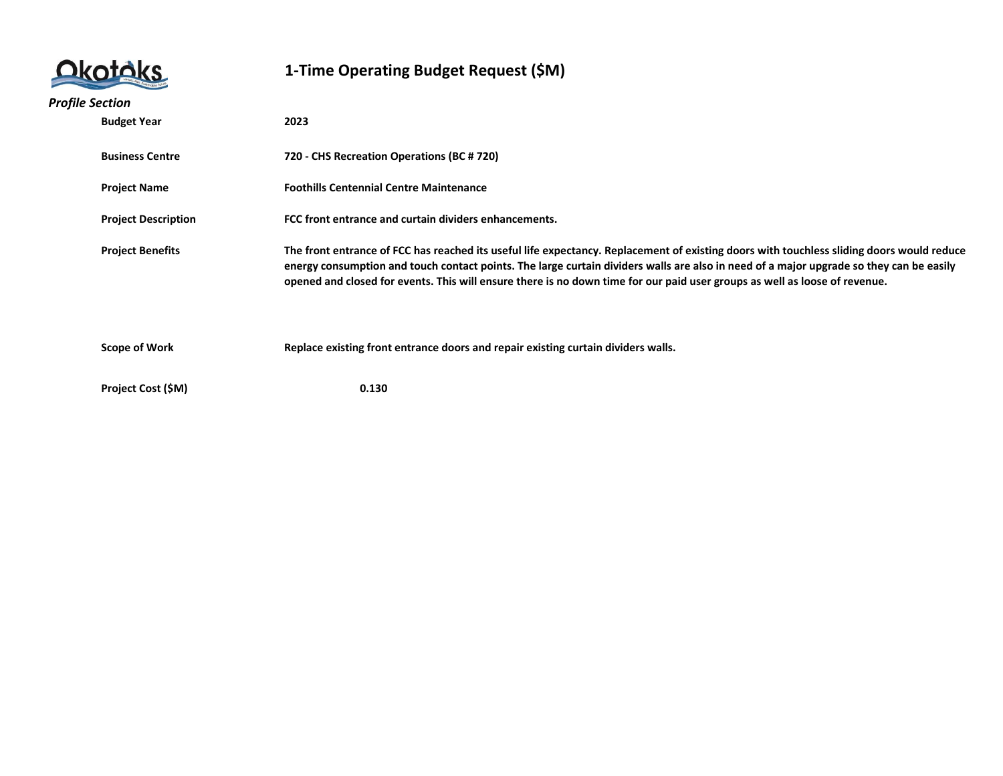|                        |                            | 1-Time Operating Budget Request (\$M)                                                                                                                                                                                                                                                                                                                                                                              |  |
|------------------------|----------------------------|--------------------------------------------------------------------------------------------------------------------------------------------------------------------------------------------------------------------------------------------------------------------------------------------------------------------------------------------------------------------------------------------------------------------|--|
| <b>Profile Section</b> |                            |                                                                                                                                                                                                                                                                                                                                                                                                                    |  |
|                        | <b>Budget Year</b>         | 2023                                                                                                                                                                                                                                                                                                                                                                                                               |  |
|                        | <b>Business Centre</b>     | 720 - CHS Recreation Operations (BC # 720)                                                                                                                                                                                                                                                                                                                                                                         |  |
|                        | <b>Project Name</b>        | <b>Foothills Centennial Centre Maintenance</b>                                                                                                                                                                                                                                                                                                                                                                     |  |
|                        | <b>Project Description</b> | FCC front entrance and curtain dividers enhancements.                                                                                                                                                                                                                                                                                                                                                              |  |
|                        | <b>Project Benefits</b>    | The front entrance of FCC has reached its useful life expectancy. Replacement of existing doors with touchless sliding doors would reduce<br>energy consumption and touch contact points. The large curtain dividers walls are also in need of a major upgrade so they can be easily<br>opened and closed for events. This will ensure there is no down time for our paid user groups as well as loose of revenue. |  |
|                        | <b>Scope of Work</b>       | Replace existing front entrance doors and repair existing curtain dividers walls.                                                                                                                                                                                                                                                                                                                                  |  |
|                        | Project Cost (\$M)         | 0.130                                                                                                                                                                                                                                                                                                                                                                                                              |  |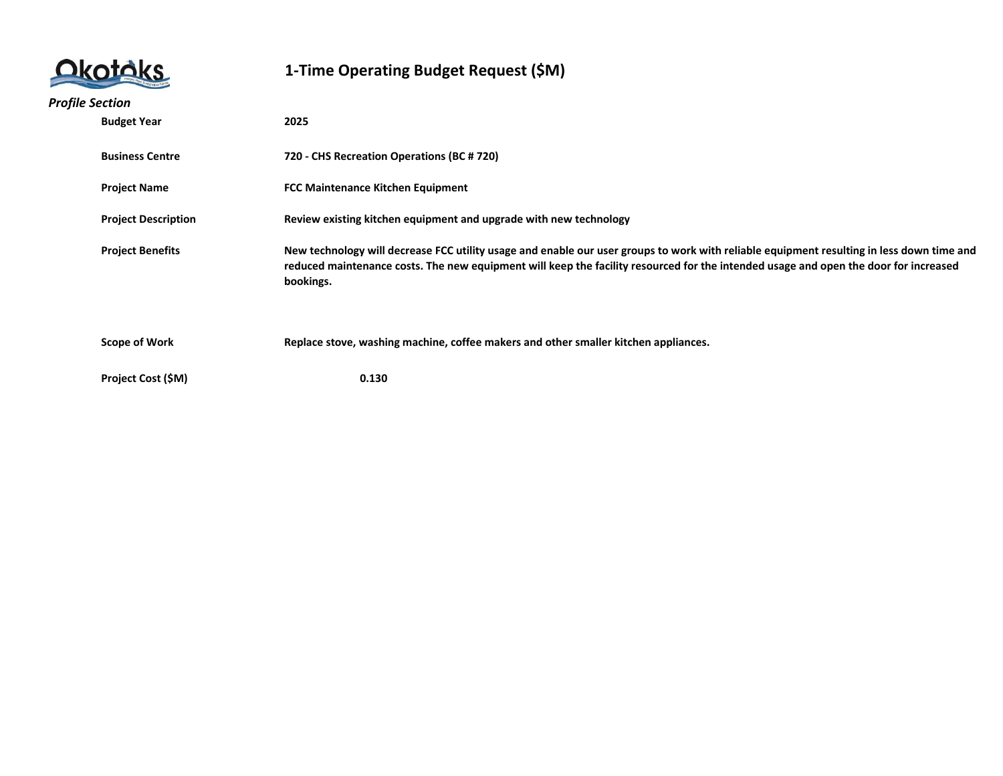|                        |                            | 1-Time Operating Budget Request (\$M)                                                                                                                                                                                                                                                          |  |
|------------------------|----------------------------|------------------------------------------------------------------------------------------------------------------------------------------------------------------------------------------------------------------------------------------------------------------------------------------------|--|
| <b>Profile Section</b> |                            |                                                                                                                                                                                                                                                                                                |  |
|                        | <b>Budget Year</b>         | 2025                                                                                                                                                                                                                                                                                           |  |
|                        | <b>Business Centre</b>     | 720 - CHS Recreation Operations (BC # 720)                                                                                                                                                                                                                                                     |  |
|                        | <b>Project Name</b>        | <b>FCC Maintenance Kitchen Equipment</b>                                                                                                                                                                                                                                                       |  |
|                        | <b>Project Description</b> | Review existing kitchen equipment and upgrade with new technology                                                                                                                                                                                                                              |  |
|                        | <b>Project Benefits</b>    | New technology will decrease FCC utility usage and enable our user groups to work with reliable equipment resulting in less down time and<br>reduced maintenance costs. The new equipment will keep the facility resourced for the intended usage and open the door for increased<br>bookings. |  |
|                        | <b>Scope of Work</b>       | Replace stove, washing machine, coffee makers and other smaller kitchen appliances.                                                                                                                                                                                                            |  |
|                        | Project Cost (\$M)         | 0.130                                                                                                                                                                                                                                                                                          |  |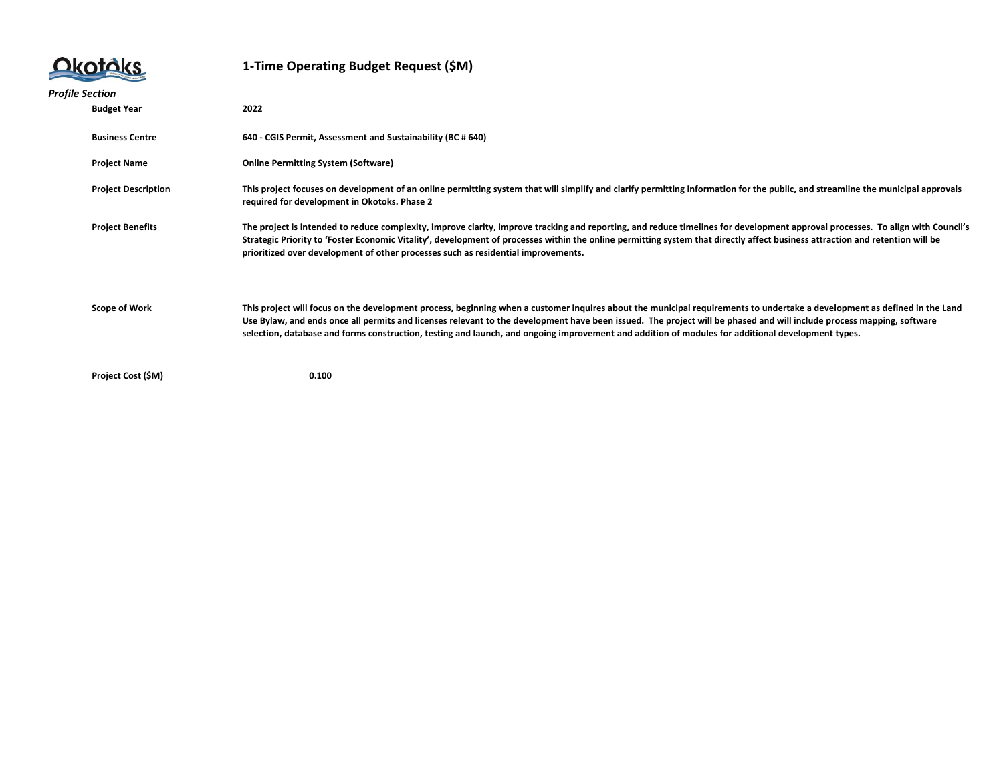## Okotóks

| <b>Profile Section</b> |                            |                                                                                                                                                                                                                                                                                                                                                                                                                                                                                                         |  |  |
|------------------------|----------------------------|---------------------------------------------------------------------------------------------------------------------------------------------------------------------------------------------------------------------------------------------------------------------------------------------------------------------------------------------------------------------------------------------------------------------------------------------------------------------------------------------------------|--|--|
|                        | <b>Budget Year</b>         | 2022                                                                                                                                                                                                                                                                                                                                                                                                                                                                                                    |  |  |
|                        | <b>Business Centre</b>     | 640 - CGIS Permit, Assessment and Sustainability (BC # 640)                                                                                                                                                                                                                                                                                                                                                                                                                                             |  |  |
|                        | <b>Project Name</b>        | <b>Online Permitting System (Software)</b>                                                                                                                                                                                                                                                                                                                                                                                                                                                              |  |  |
|                        | <b>Project Description</b> | This project focuses on development of an online permitting system that will simplify and clarify permitting information for the public, and streamline the municipal approvals<br>required for development in Okotoks. Phase 2                                                                                                                                                                                                                                                                         |  |  |
|                        | <b>Project Benefits</b>    | The project is intended to reduce complexity, improve clarity, improve tracking and reporting, and reduce timelines for development approval processes. To align with Council's<br>Strategic Priority to 'Foster Economic Vitality', development of processes within the online permitting system that directly affect business attraction and retention will be<br>prioritized over development of other processes such as residential improvements.                                                   |  |  |
|                        | <b>Scope of Work</b>       | This project will focus on the development process, beginning when a customer inquires about the municipal requirements to undertake a development as defined in the Land<br>Use Bylaw, and ends once all permits and licenses relevant to the development have been issued. The project will be phased and will include process mapping, software<br>selection, database and forms construction, testing and launch, and ongoing improvement and addition of modules for additional development types. |  |  |
|                        | Project Cost (\$M)         | 0.100                                                                                                                                                                                                                                                                                                                                                                                                                                                                                                   |  |  |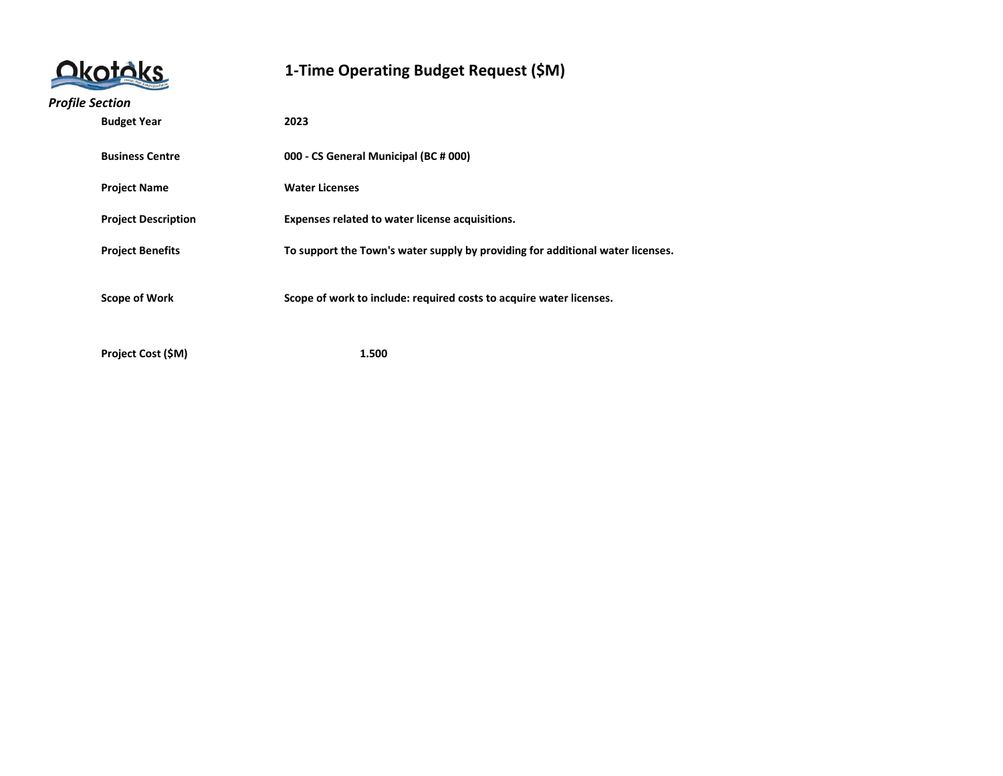| <b>Dkotoks</b> |  |
|----------------|--|
|                |  |

| <b>Profile Section</b> |                            |                                                                                |
|------------------------|----------------------------|--------------------------------------------------------------------------------|
|                        | <b>Budget Year</b>         | 2023                                                                           |
|                        |                            |                                                                                |
|                        | <b>Business Centre</b>     | 000 - CS General Municipal (BC # 000)                                          |
|                        | <b>Project Name</b>        | <b>Water Licenses</b>                                                          |
|                        |                            |                                                                                |
|                        | <b>Project Description</b> | Expenses related to water license acquisitions.                                |
|                        | <b>Project Benefits</b>    | To support the Town's water supply by providing for additional water licenses. |
|                        |                            |                                                                                |
|                        |                            |                                                                                |
|                        | <b>Scope of Work</b>       | Scope of work to include: required costs to acquire water licenses.            |
|                        |                            |                                                                                |
|                        | Project Cost (\$M)         | 1.500                                                                          |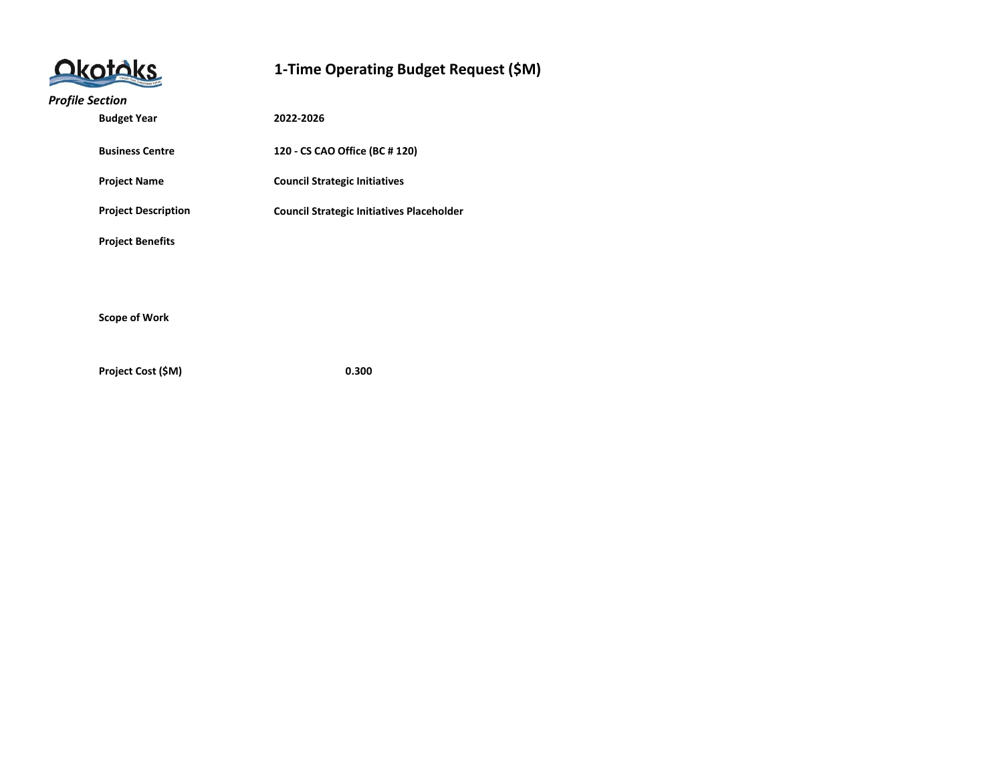# Okotoks

#### **1-Time Operating Budget Request (\$M)**

#### *Profile Section*

| <b>Budget Year</b>         | 2022-2026                                        |
|----------------------------|--------------------------------------------------|
| <b>Business Centre</b>     | 120 - CS CAO Office (BC # 120)                   |
| <b>Project Name</b>        | <b>Council Strategic Initiatives</b>             |
| <b>Project Description</b> | <b>Council Strategic Initiatives Placeholder</b> |
| <b>Project Benefits</b>    |                                                  |
|                            |                                                  |
|                            |                                                  |
| <b>Scope of Work</b>       |                                                  |

**Project Cost (\$M) 0.300**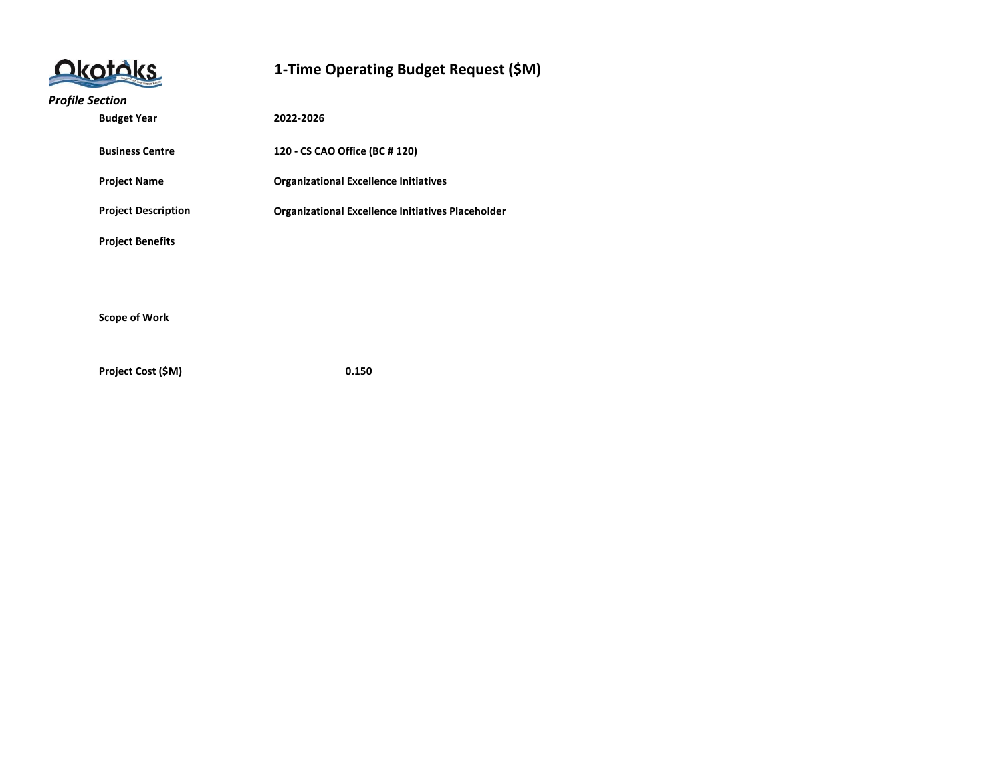| <b>Jkotóks</b> |  |
|----------------|--|
|                |  |

#### *Profile Section*

| <b>Budget Year</b>         | 2022-2026                                                |
|----------------------------|----------------------------------------------------------|
| <b>Business Centre</b>     | 120 - CS CAO Office (BC # 120)                           |
| <b>Project Name</b>        | <b>Organizational Excellence Initiatives</b>             |
| <b>Project Description</b> | <b>Organizational Excellence Initiatives Placeholder</b> |
| <b>Project Benefits</b>    |                                                          |
|                            |                                                          |
| <b>Scope of Work</b>       |                                                          |
|                            |                                                          |

**Project Cost (\$M) 0.150**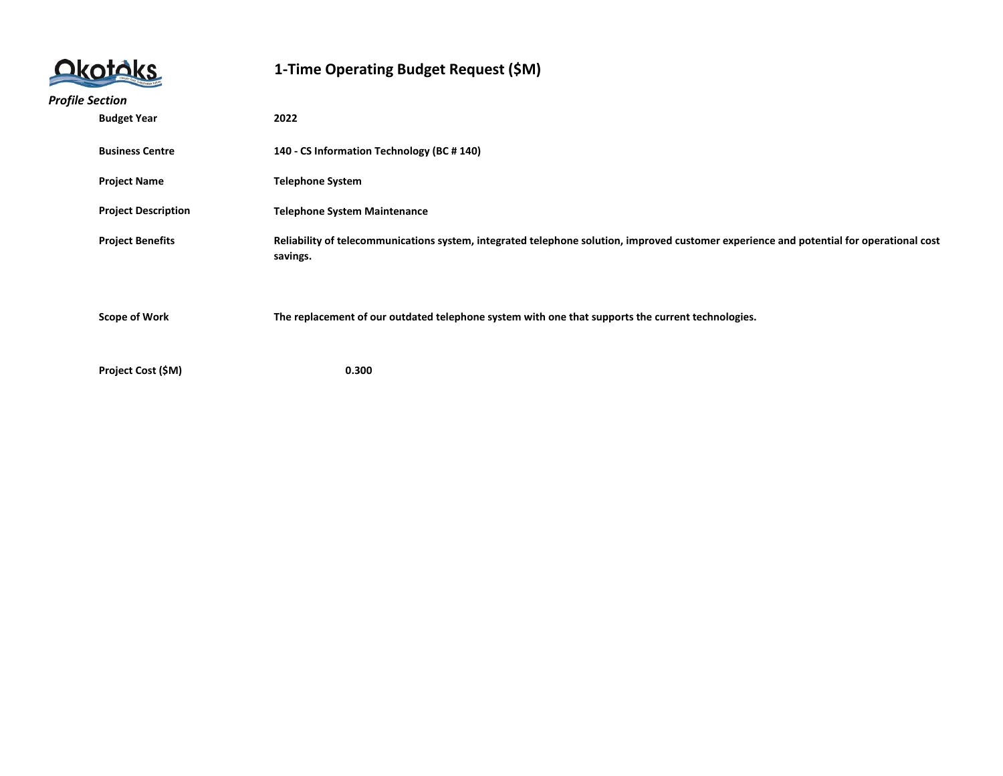

| <b>Profile Section</b> |                            |                                                                                                                                                      |
|------------------------|----------------------------|------------------------------------------------------------------------------------------------------------------------------------------------------|
|                        | <b>Budget Year</b><br>2022 |                                                                                                                                                      |
|                        |                            |                                                                                                                                                      |
|                        | <b>Business Centre</b>     | 140 - CS Information Technology (BC # 140)                                                                                                           |
|                        | <b>Project Name</b>        | <b>Telephone System</b>                                                                                                                              |
|                        | <b>Project Description</b> | <b>Telephone System Maintenance</b>                                                                                                                  |
|                        | <b>Project Benefits</b>    | Reliability of telecommunications system, integrated telephone solution, improved customer experience and potential for operational cost<br>savings. |
|                        | <b>Scope of Work</b>       | The replacement of our outdated telephone system with one that supports the current technologies.                                                    |
|                        |                            |                                                                                                                                                      |
|                        | Project Cost (\$M)         | 0.300                                                                                                                                                |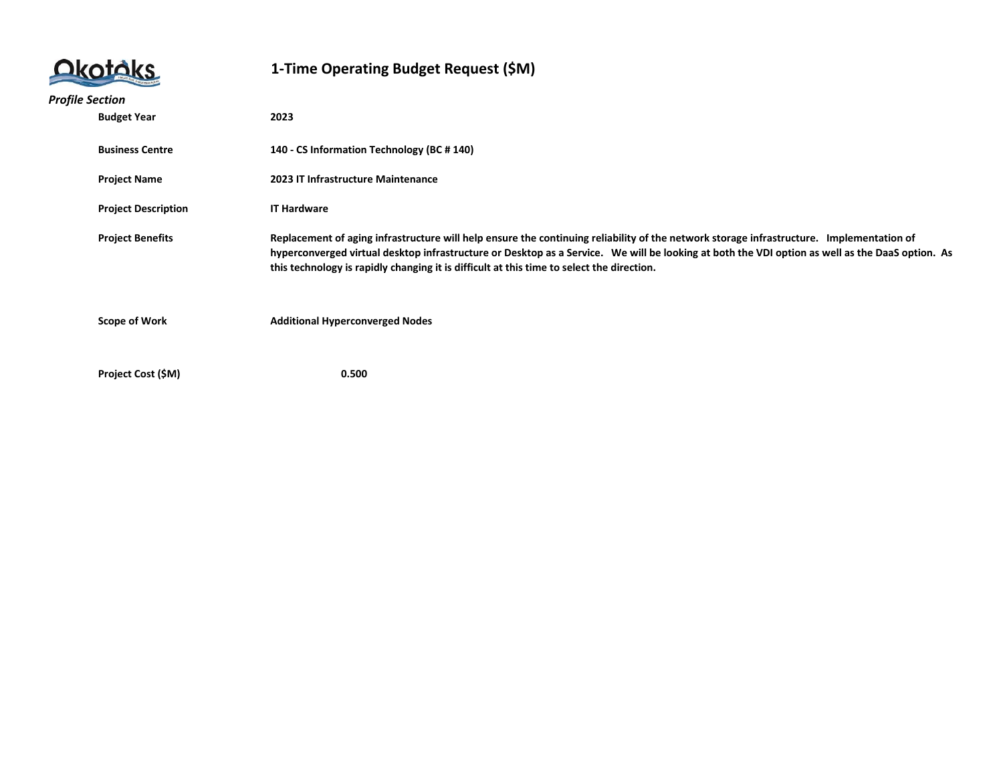|                        |                            | 1-Time Operating Budget Request (\$M)                                                                                                                                                                                                                                                                                                                                                    |
|------------------------|----------------------------|------------------------------------------------------------------------------------------------------------------------------------------------------------------------------------------------------------------------------------------------------------------------------------------------------------------------------------------------------------------------------------------|
| <b>Profile Section</b> |                            |                                                                                                                                                                                                                                                                                                                                                                                          |
|                        | <b>Budget Year</b>         | 2023                                                                                                                                                                                                                                                                                                                                                                                     |
|                        | <b>Business Centre</b>     | 140 - CS Information Technology (BC # 140)                                                                                                                                                                                                                                                                                                                                               |
|                        | <b>Project Name</b>        | 2023 IT Infrastructure Maintenance                                                                                                                                                                                                                                                                                                                                                       |
|                        | <b>Project Description</b> | <b>IT Hardware</b>                                                                                                                                                                                                                                                                                                                                                                       |
|                        | <b>Project Benefits</b>    | Replacement of aging infrastructure will help ensure the continuing reliability of the network storage infrastructure. Implementation of<br>hyperconverged virtual desktop infrastructure or Desktop as a Service. We will be looking at both the VDI option as well as the DaaS option. As<br>this technology is rapidly changing it is difficult at this time to select the direction. |
|                        | <b>Scope of Work</b>       | <b>Additional Hyperconverged Nodes</b>                                                                                                                                                                                                                                                                                                                                                   |
|                        | Project Cost (\$M)         | 0.500                                                                                                                                                                                                                                                                                                                                                                                    |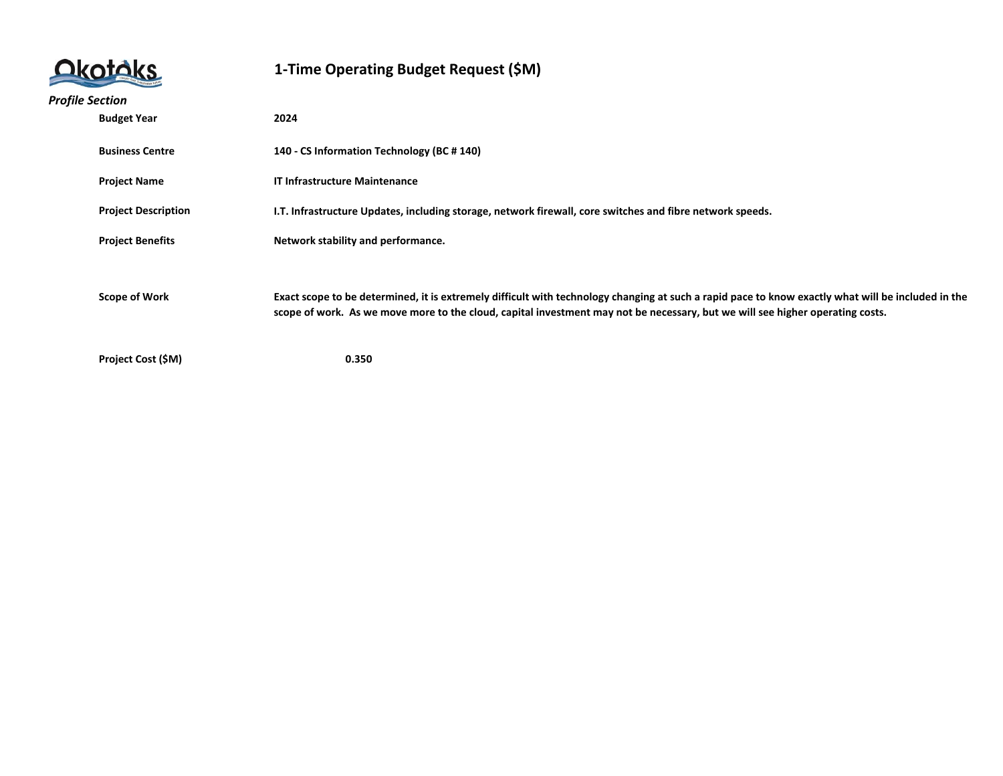| <b>Jkotoks</b> |  |
|----------------|--|
|                |  |

| <b>Profile Section</b> |                            |                                                                                                                                                                                                                                                                                     |
|------------------------|----------------------------|-------------------------------------------------------------------------------------------------------------------------------------------------------------------------------------------------------------------------------------------------------------------------------------|
|                        | <b>Budget Year</b><br>2024 |                                                                                                                                                                                                                                                                                     |
|                        | <b>Business Centre</b>     | 140 - CS Information Technology (BC # 140)                                                                                                                                                                                                                                          |
|                        | <b>Project Name</b>        | <b>IT Infrastructure Maintenance</b>                                                                                                                                                                                                                                                |
|                        | <b>Project Description</b> | I.T. Infrastructure Updates, including storage, network firewall, core switches and fibre network speeds.                                                                                                                                                                           |
|                        | <b>Project Benefits</b>    | Network stability and performance.                                                                                                                                                                                                                                                  |
|                        | <b>Scope of Work</b>       | Exact scope to be determined, it is extremely difficult with technology changing at such a rapid pace to know exactly what will be included in the<br>scope of work. As we move more to the cloud, capital investment may not be necessary, but we will see higher operating costs. |
|                        | Project Cost (\$M)         | 0.350                                                                                                                                                                                                                                                                               |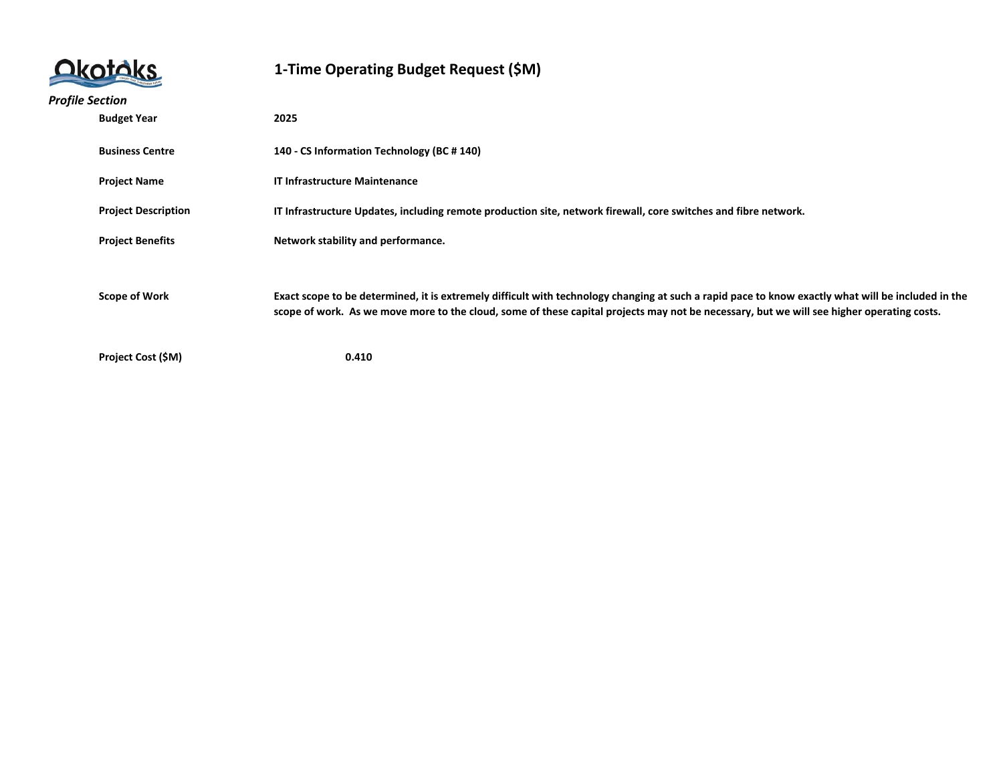| <b>Dkotóks</b> |  |
|----------------|--|
|                |  |

| <b>Profile Section</b> |                            |                                                                                                                                                                                                                                                                                                 |
|------------------------|----------------------------|-------------------------------------------------------------------------------------------------------------------------------------------------------------------------------------------------------------------------------------------------------------------------------------------------|
|                        | <b>Budget Year</b><br>2025 |                                                                                                                                                                                                                                                                                                 |
|                        | <b>Business Centre</b>     | 140 - CS Information Technology (BC # 140)                                                                                                                                                                                                                                                      |
|                        | <b>Project Name</b>        | <b>IT Infrastructure Maintenance</b>                                                                                                                                                                                                                                                            |
|                        | <b>Project Description</b> | IT Infrastructure Updates, including remote production site, network firewall, core switches and fibre network.                                                                                                                                                                                 |
|                        | <b>Project Benefits</b>    | Network stability and performance.                                                                                                                                                                                                                                                              |
|                        | <b>Scope of Work</b>       | Exact scope to be determined, it is extremely difficult with technology changing at such a rapid pace to know exactly what will be included in the<br>scope of work. As we move more to the cloud, some of these capital projects may not be necessary, but we will see higher operating costs. |
|                        | Project Cost (\$M)         | 0.410                                                                                                                                                                                                                                                                                           |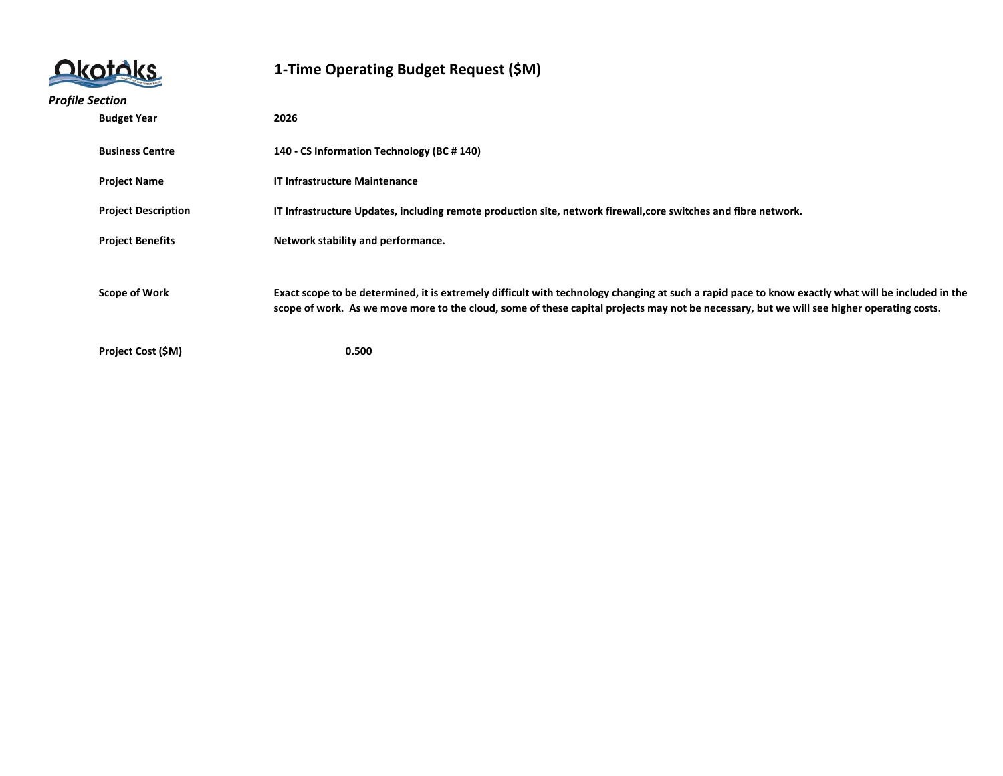

| <b>Profile Section</b> |                            |                                                                                                                                                    |
|------------------------|----------------------------|----------------------------------------------------------------------------------------------------------------------------------------------------|
|                        | <b>Budget Year</b><br>2026 |                                                                                                                                                    |
|                        |                            |                                                                                                                                                    |
|                        | <b>Business Centre</b>     | 140 - CS Information Technology (BC # 140)                                                                                                         |
|                        |                            |                                                                                                                                                    |
|                        | <b>Project Name</b>        | <b>IT Infrastructure Maintenance</b>                                                                                                               |
|                        | <b>Project Description</b> | IT Infrastructure Updates, including remote production site, network firewall, core switches and fibre network.                                    |
|                        |                            |                                                                                                                                                    |
|                        | <b>Project Benefits</b>    | Network stability and performance.                                                                                                                 |
|                        |                            |                                                                                                                                                    |
|                        |                            |                                                                                                                                                    |
|                        | <b>Scope of Work</b>       | Exact scope to be determined, it is extremely difficult with technology changing at such a rapid pace to know exactly what will be included in the |
|                        |                            | scope of work. As we move more to the cloud, some of these capital projects may not be necessary, but we will see higher operating costs.          |
|                        |                            |                                                                                                                                                    |
|                        | Project Cost (\$M)         | 0.500                                                                                                                                              |
|                        |                            |                                                                                                                                                    |
|                        |                            |                                                                                                                                                    |